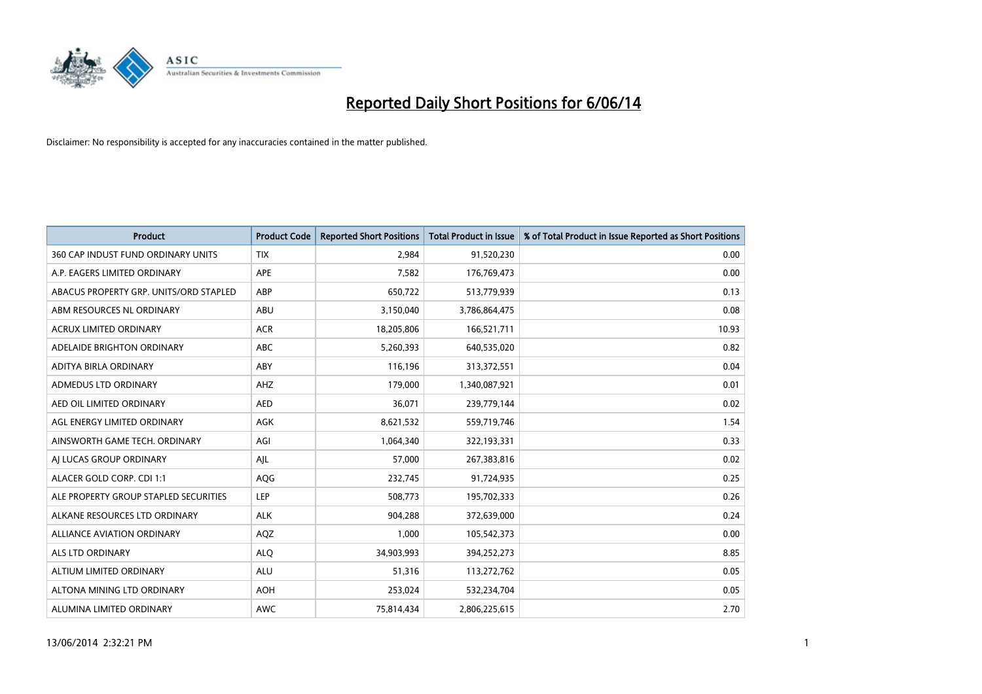

| <b>Product</b>                         | <b>Product Code</b> | <b>Reported Short Positions</b> | <b>Total Product in Issue</b> | % of Total Product in Issue Reported as Short Positions |
|----------------------------------------|---------------------|---------------------------------|-------------------------------|---------------------------------------------------------|
| 360 CAP INDUST FUND ORDINARY UNITS     | <b>TIX</b>          | 2,984                           | 91,520,230                    | 0.00                                                    |
| A.P. EAGERS LIMITED ORDINARY           | <b>APE</b>          | 7,582                           | 176,769,473                   | 0.00                                                    |
| ABACUS PROPERTY GRP. UNITS/ORD STAPLED | <b>ABP</b>          | 650,722                         | 513,779,939                   | 0.13                                                    |
| ABM RESOURCES NL ORDINARY              | ABU                 | 3,150,040                       | 3,786,864,475                 | 0.08                                                    |
| <b>ACRUX LIMITED ORDINARY</b>          | <b>ACR</b>          | 18,205,806                      | 166,521,711                   | 10.93                                                   |
| ADELAIDE BRIGHTON ORDINARY             | <b>ABC</b>          | 5,260,393                       | 640,535,020                   | 0.82                                                    |
| ADITYA BIRLA ORDINARY                  | ABY                 | 116,196                         | 313,372,551                   | 0.04                                                    |
| ADMEDUS LTD ORDINARY                   | AHZ                 | 179,000                         | 1,340,087,921                 | 0.01                                                    |
| AED OIL LIMITED ORDINARY               | <b>AED</b>          | 36,071                          | 239,779,144                   | 0.02                                                    |
| AGL ENERGY LIMITED ORDINARY            | <b>AGK</b>          | 8,621,532                       | 559,719,746                   | 1.54                                                    |
| AINSWORTH GAME TECH. ORDINARY          | AGI                 | 1,064,340                       | 322,193,331                   | 0.33                                                    |
| AI LUCAS GROUP ORDINARY                | AJL                 | 57,000                          | 267,383,816                   | 0.02                                                    |
| ALACER GOLD CORP. CDI 1:1              | AQG                 | 232,745                         | 91,724,935                    | 0.25                                                    |
| ALE PROPERTY GROUP STAPLED SECURITIES  | LEP                 | 508,773                         | 195,702,333                   | 0.26                                                    |
| ALKANE RESOURCES LTD ORDINARY          | <b>ALK</b>          | 904,288                         | 372,639,000                   | 0.24                                                    |
| ALLIANCE AVIATION ORDINARY             | AQZ                 | 1,000                           | 105,542,373                   | 0.00                                                    |
| <b>ALS LTD ORDINARY</b>                | <b>ALO</b>          | 34,903,993                      | 394,252,273                   | 8.85                                                    |
| ALTIUM LIMITED ORDINARY                | <b>ALU</b>          | 51,316                          | 113,272,762                   | 0.05                                                    |
| ALTONA MINING LTD ORDINARY             | <b>AOH</b>          | 253,024                         | 532,234,704                   | 0.05                                                    |
| ALUMINA LIMITED ORDINARY               | <b>AWC</b>          | 75,814,434                      | 2,806,225,615                 | 2.70                                                    |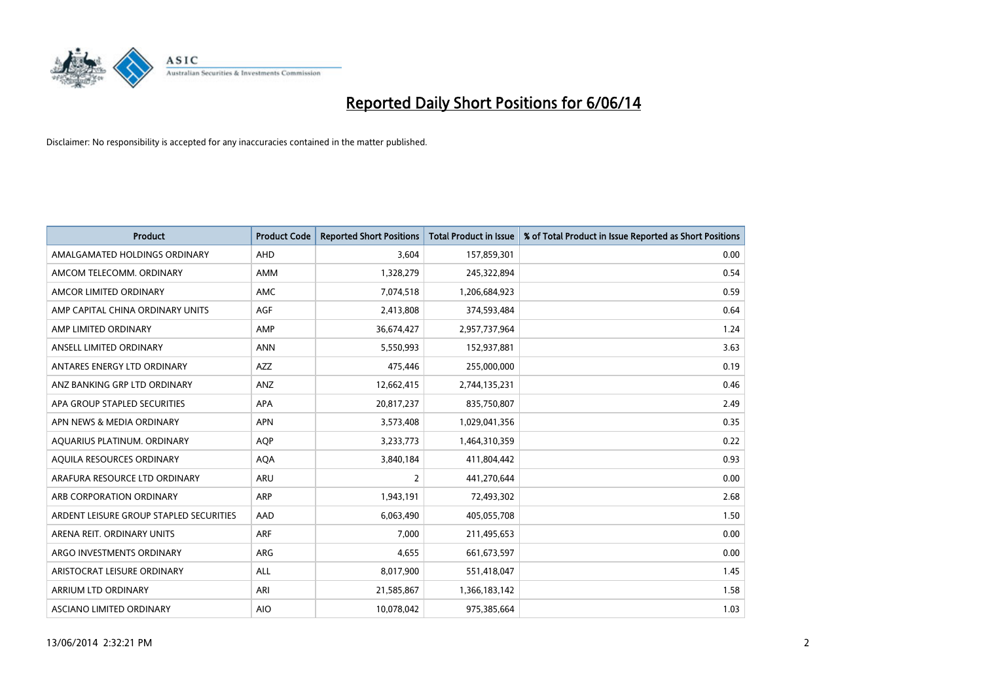

| <b>Product</b>                          | <b>Product Code</b> | <b>Reported Short Positions</b> | <b>Total Product in Issue</b> | % of Total Product in Issue Reported as Short Positions |
|-----------------------------------------|---------------------|---------------------------------|-------------------------------|---------------------------------------------------------|
| AMALGAMATED HOLDINGS ORDINARY           | AHD                 | 3.604                           | 157,859,301                   | 0.00                                                    |
| AMCOM TELECOMM. ORDINARY                | <b>AMM</b>          | 1,328,279                       | 245,322,894                   | 0.54                                                    |
| AMCOR LIMITED ORDINARY                  | AMC                 | 7,074,518                       | 1,206,684,923                 | 0.59                                                    |
| AMP CAPITAL CHINA ORDINARY UNITS        | AGF                 | 2,413,808                       | 374,593,484                   | 0.64                                                    |
| AMP LIMITED ORDINARY                    | AMP                 | 36,674,427                      | 2,957,737,964                 | 1.24                                                    |
| ANSELL LIMITED ORDINARY                 | <b>ANN</b>          | 5,550,993                       | 152,937,881                   | 3.63                                                    |
| ANTARES ENERGY LTD ORDINARY             | <b>AZZ</b>          | 475,446                         | 255,000,000                   | 0.19                                                    |
| ANZ BANKING GRP LTD ORDINARY            | ANZ                 | 12,662,415                      | 2,744,135,231                 | 0.46                                                    |
| APA GROUP STAPLED SECURITIES            | <b>APA</b>          | 20,817,237                      | 835,750,807                   | 2.49                                                    |
| APN NEWS & MEDIA ORDINARY               | <b>APN</b>          | 3,573,408                       | 1,029,041,356                 | 0.35                                                    |
| AQUARIUS PLATINUM. ORDINARY             | <b>AOP</b>          | 3,233,773                       | 1,464,310,359                 | 0.22                                                    |
| AQUILA RESOURCES ORDINARY               | <b>AQA</b>          | 3,840,184                       | 411,804,442                   | 0.93                                                    |
| ARAFURA RESOURCE LTD ORDINARY           | ARU                 | $\overline{2}$                  | 441,270,644                   | 0.00                                                    |
| ARB CORPORATION ORDINARY                | ARP                 | 1,943,191                       | 72,493,302                    | 2.68                                                    |
| ARDENT LEISURE GROUP STAPLED SECURITIES | AAD                 | 6,063,490                       | 405,055,708                   | 1.50                                                    |
| ARENA REIT. ORDINARY UNITS              | <b>ARF</b>          | 7,000                           | 211,495,653                   | 0.00                                                    |
| ARGO INVESTMENTS ORDINARY               | ARG                 | 4,655                           | 661,673,597                   | 0.00                                                    |
| ARISTOCRAT LEISURE ORDINARY             | <b>ALL</b>          | 8,017,900                       | 551,418,047                   | 1.45                                                    |
| <b>ARRIUM LTD ORDINARY</b>              | ARI                 | 21,585,867                      | 1,366,183,142                 | 1.58                                                    |
| ASCIANO LIMITED ORDINARY                | <b>AIO</b>          | 10,078,042                      | 975,385,664                   | 1.03                                                    |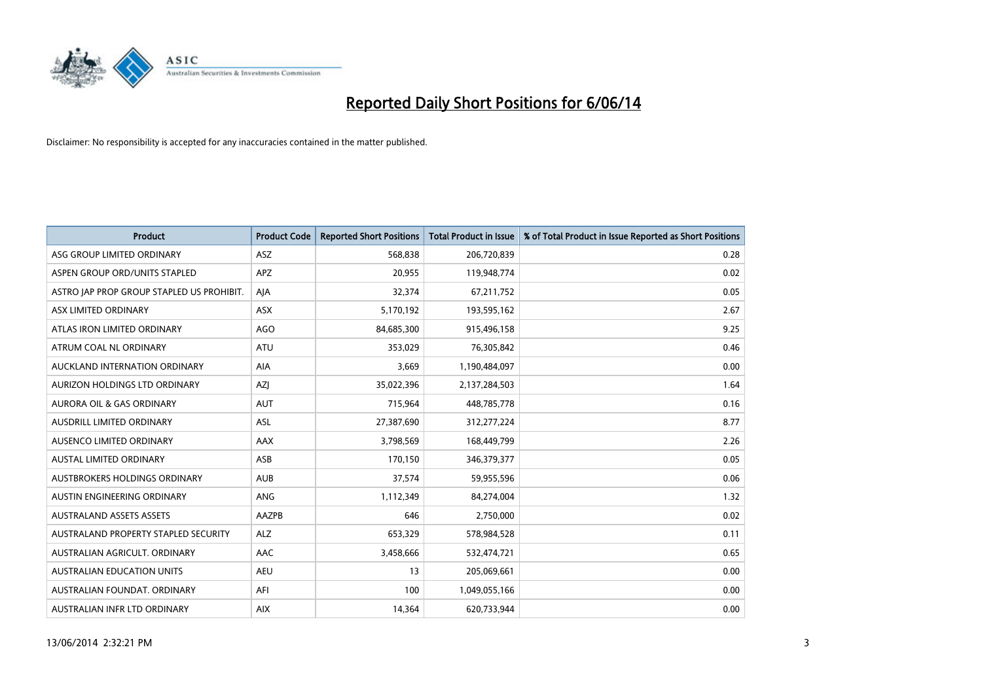

| <b>Product</b>                            | <b>Product Code</b> | <b>Reported Short Positions</b> | <b>Total Product in Issue</b> | % of Total Product in Issue Reported as Short Positions |
|-------------------------------------------|---------------------|---------------------------------|-------------------------------|---------------------------------------------------------|
| ASG GROUP LIMITED ORDINARY                | <b>ASZ</b>          | 568,838                         | 206,720,839                   | 0.28                                                    |
| ASPEN GROUP ORD/UNITS STAPLED             | <b>APZ</b>          | 20,955                          | 119,948,774                   | 0.02                                                    |
| ASTRO JAP PROP GROUP STAPLED US PROHIBIT. | AIA                 | 32,374                          | 67,211,752                    | 0.05                                                    |
| ASX LIMITED ORDINARY                      | ASX                 | 5,170,192                       | 193,595,162                   | 2.67                                                    |
| ATLAS IRON LIMITED ORDINARY               | AGO                 | 84,685,300                      | 915,496,158                   | 9.25                                                    |
| ATRUM COAL NL ORDINARY                    | <b>ATU</b>          | 353,029                         | 76,305,842                    | 0.46                                                    |
| AUCKLAND INTERNATION ORDINARY             | <b>AIA</b>          | 3,669                           | 1,190,484,097                 | 0.00                                                    |
| AURIZON HOLDINGS LTD ORDINARY             | <b>AZI</b>          | 35,022,396                      | 2,137,284,503                 | 1.64                                                    |
| <b>AURORA OIL &amp; GAS ORDINARY</b>      | <b>AUT</b>          | 715,964                         | 448,785,778                   | 0.16                                                    |
| AUSDRILL LIMITED ORDINARY                 | <b>ASL</b>          | 27,387,690                      | 312,277,224                   | 8.77                                                    |
| AUSENCO LIMITED ORDINARY                  | AAX                 | 3,798,569                       | 168,449,799                   | 2.26                                                    |
| <b>AUSTAL LIMITED ORDINARY</b>            | ASB                 | 170,150                         | 346,379,377                   | 0.05                                                    |
| AUSTBROKERS HOLDINGS ORDINARY             | <b>AUB</b>          | 37,574                          | 59,955,596                    | 0.06                                                    |
| AUSTIN ENGINEERING ORDINARY               | ANG                 | 1,112,349                       | 84,274,004                    | 1.32                                                    |
| <b>AUSTRALAND ASSETS ASSETS</b>           | AAZPB               | 646                             | 2,750,000                     | 0.02                                                    |
| AUSTRALAND PROPERTY STAPLED SECURITY      | <b>ALZ</b>          | 653,329                         | 578,984,528                   | 0.11                                                    |
| AUSTRALIAN AGRICULT. ORDINARY             | AAC                 | 3,458,666                       | 532,474,721                   | 0.65                                                    |
| AUSTRALIAN EDUCATION UNITS                | <b>AEU</b>          | 13                              | 205,069,661                   | 0.00                                                    |
| AUSTRALIAN FOUNDAT, ORDINARY              | AFI                 | 100                             | 1,049,055,166                 | 0.00                                                    |
| AUSTRALIAN INFR LTD ORDINARY              | <b>AIX</b>          | 14,364                          | 620,733,944                   | 0.00                                                    |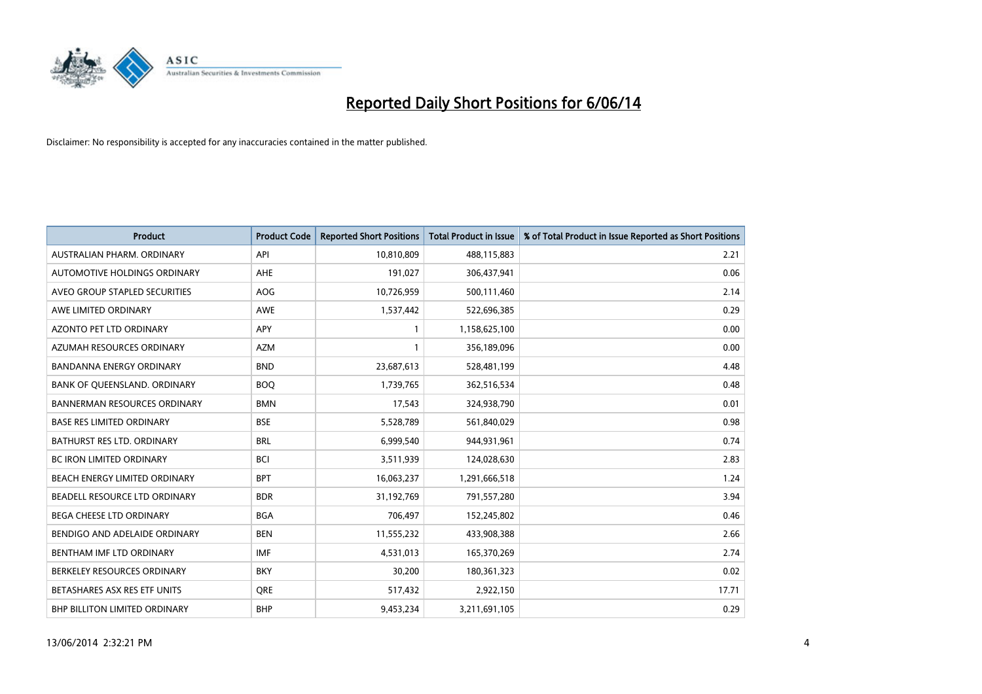

| <b>Product</b>                       | <b>Product Code</b> | <b>Reported Short Positions</b> | <b>Total Product in Issue</b> | % of Total Product in Issue Reported as Short Positions |
|--------------------------------------|---------------------|---------------------------------|-------------------------------|---------------------------------------------------------|
| AUSTRALIAN PHARM, ORDINARY           | API                 | 10,810,809                      | 488,115,883                   | 2.21                                                    |
| AUTOMOTIVE HOLDINGS ORDINARY         | <b>AHE</b>          | 191,027                         | 306,437,941                   | 0.06                                                    |
| AVEO GROUP STAPLED SECURITIES        | <b>AOG</b>          | 10,726,959                      | 500,111,460                   | 2.14                                                    |
| AWE LIMITED ORDINARY                 | <b>AWE</b>          | 1,537,442                       | 522,696,385                   | 0.29                                                    |
| <b>AZONTO PET LTD ORDINARY</b>       | <b>APY</b>          |                                 | 1,158,625,100                 | 0.00                                                    |
| AZUMAH RESOURCES ORDINARY            | <b>AZM</b>          |                                 | 356,189,096                   | 0.00                                                    |
| <b>BANDANNA ENERGY ORDINARY</b>      | <b>BND</b>          | 23,687,613                      | 528,481,199                   | 4.48                                                    |
| BANK OF QUEENSLAND. ORDINARY         | <b>BOQ</b>          | 1,739,765                       | 362,516,534                   | 0.48                                                    |
| <b>BANNERMAN RESOURCES ORDINARY</b>  | <b>BMN</b>          | 17,543                          | 324,938,790                   | 0.01                                                    |
| <b>BASE RES LIMITED ORDINARY</b>     | <b>BSE</b>          | 5,528,789                       | 561,840,029                   | 0.98                                                    |
| BATHURST RES LTD. ORDINARY           | <b>BRL</b>          | 6,999,540                       | 944,931,961                   | 0.74                                                    |
| <b>BC IRON LIMITED ORDINARY</b>      | <b>BCI</b>          | 3,511,939                       | 124,028,630                   | 2.83                                                    |
| BEACH ENERGY LIMITED ORDINARY        | <b>BPT</b>          | 16,063,237                      | 1,291,666,518                 | 1.24                                                    |
| BEADELL RESOURCE LTD ORDINARY        | <b>BDR</b>          | 31,192,769                      | 791,557,280                   | 3.94                                                    |
| <b>BEGA CHEESE LTD ORDINARY</b>      | <b>BGA</b>          | 706,497                         | 152,245,802                   | 0.46                                                    |
| BENDIGO AND ADELAIDE ORDINARY        | <b>BEN</b>          | 11,555,232                      | 433,908,388                   | 2.66                                                    |
| BENTHAM IMF LTD ORDINARY             | <b>IMF</b>          | 4,531,013                       | 165,370,269                   | 2.74                                                    |
| BERKELEY RESOURCES ORDINARY          | <b>BKY</b>          | 30,200                          | 180,361,323                   | 0.02                                                    |
| BETASHARES ASX RES ETF UNITS         | <b>ORE</b>          | 517,432                         | 2,922,150                     | 17.71                                                   |
| <b>BHP BILLITON LIMITED ORDINARY</b> | <b>BHP</b>          | 9,453,234                       | 3,211,691,105                 | 0.29                                                    |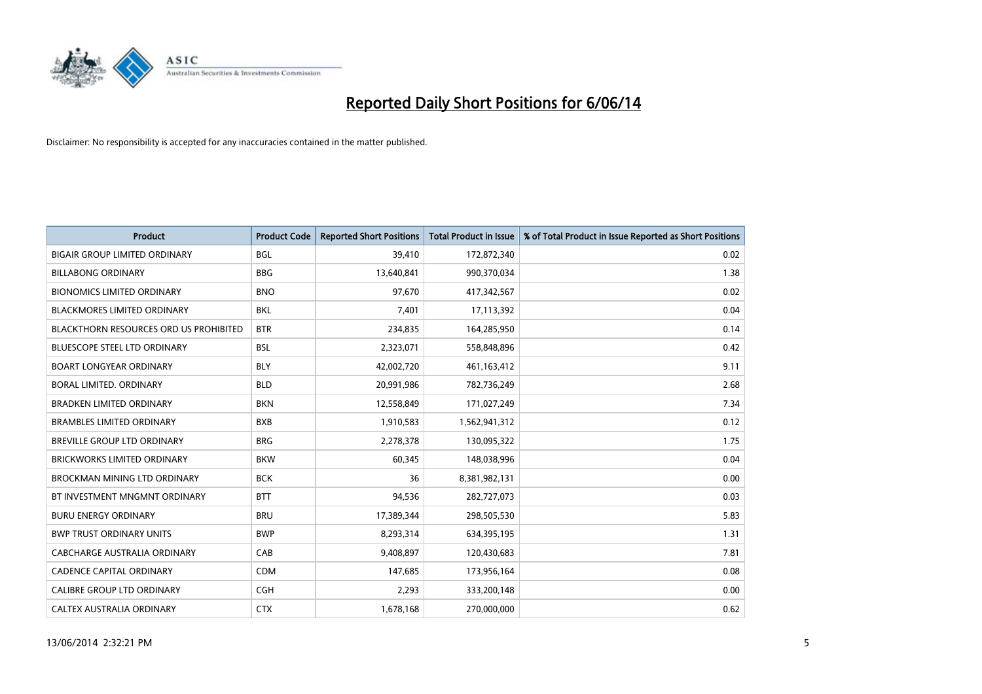

| <b>Product</b>                                | <b>Product Code</b> | <b>Reported Short Positions</b> | <b>Total Product in Issue</b> | % of Total Product in Issue Reported as Short Positions |
|-----------------------------------------------|---------------------|---------------------------------|-------------------------------|---------------------------------------------------------|
| <b>BIGAIR GROUP LIMITED ORDINARY</b>          | <b>BGL</b>          | 39.410                          | 172,872,340                   | 0.02                                                    |
| <b>BILLABONG ORDINARY</b>                     | <b>BBG</b>          | 13,640,841                      | 990,370,034                   | 1.38                                                    |
| <b>BIONOMICS LIMITED ORDINARY</b>             | <b>BNO</b>          | 97,670                          | 417,342,567                   | 0.02                                                    |
| <b>BLACKMORES LIMITED ORDINARY</b>            | <b>BKL</b>          | 7,401                           | 17,113,392                    | 0.04                                                    |
| <b>BLACKTHORN RESOURCES ORD US PROHIBITED</b> | <b>BTR</b>          | 234,835                         | 164,285,950                   | 0.14                                                    |
| <b>BLUESCOPE STEEL LTD ORDINARY</b>           | <b>BSL</b>          | 2,323,071                       | 558,848,896                   | 0.42                                                    |
| <b>BOART LONGYEAR ORDINARY</b>                | <b>BLY</b>          | 42,002,720                      | 461,163,412                   | 9.11                                                    |
| BORAL LIMITED, ORDINARY                       | <b>BLD</b>          | 20,991,986                      | 782,736,249                   | 2.68                                                    |
| <b>BRADKEN LIMITED ORDINARY</b>               | <b>BKN</b>          | 12,558,849                      | 171,027,249                   | 7.34                                                    |
| <b>BRAMBLES LIMITED ORDINARY</b>              | <b>BXB</b>          | 1,910,583                       | 1,562,941,312                 | 0.12                                                    |
| BREVILLE GROUP LTD ORDINARY                   | <b>BRG</b>          | 2,278,378                       | 130,095,322                   | 1.75                                                    |
| <b>BRICKWORKS LIMITED ORDINARY</b>            | <b>BKW</b>          | 60,345                          | 148,038,996                   | 0.04                                                    |
| <b>BROCKMAN MINING LTD ORDINARY</b>           | <b>BCK</b>          | 36                              | 8,381,982,131                 | 0.00                                                    |
| BT INVESTMENT MNGMNT ORDINARY                 | <b>BTT</b>          | 94,536                          | 282,727,073                   | 0.03                                                    |
| <b>BURU ENERGY ORDINARY</b>                   | <b>BRU</b>          | 17,389,344                      | 298,505,530                   | 5.83                                                    |
| <b>BWP TRUST ORDINARY UNITS</b>               | <b>BWP</b>          | 8,293,314                       | 634,395,195                   | 1.31                                                    |
| CABCHARGE AUSTRALIA ORDINARY                  | CAB                 | 9,408,897                       | 120,430,683                   | 7.81                                                    |
| <b>CADENCE CAPITAL ORDINARY</b>               | <b>CDM</b>          | 147,685                         | 173,956,164                   | 0.08                                                    |
| CALIBRE GROUP LTD ORDINARY                    | <b>CGH</b>          | 2,293                           | 333,200,148                   | 0.00                                                    |
| CALTEX AUSTRALIA ORDINARY                     | <b>CTX</b>          | 1,678,168                       | 270,000,000                   | 0.62                                                    |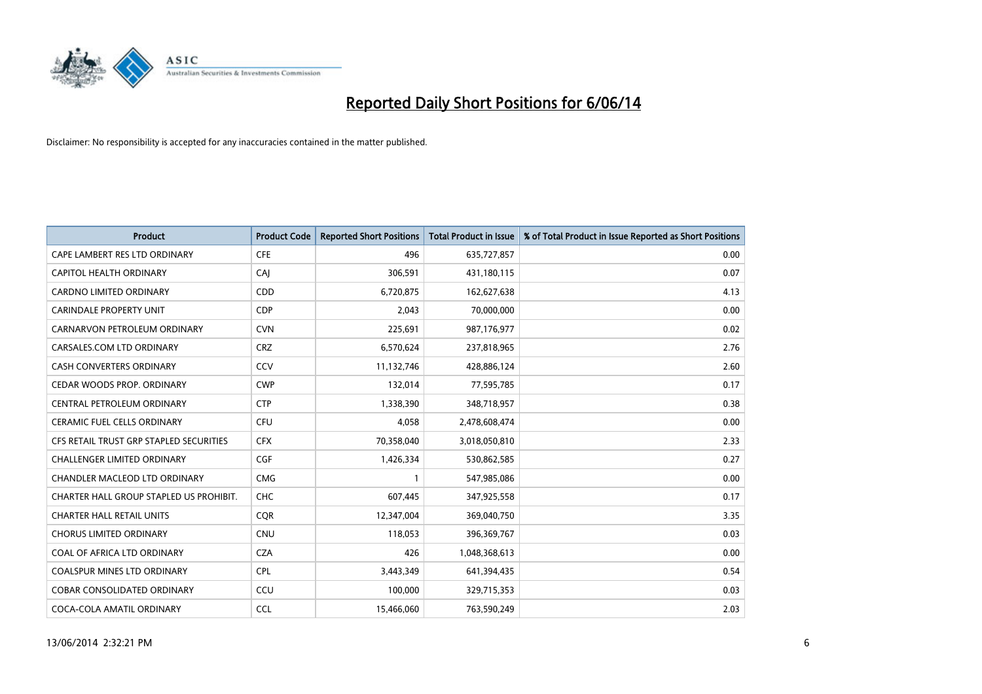

| <b>Product</b>                          | <b>Product Code</b> | <b>Reported Short Positions</b> | <b>Total Product in Issue</b> | % of Total Product in Issue Reported as Short Positions |
|-----------------------------------------|---------------------|---------------------------------|-------------------------------|---------------------------------------------------------|
| CAPE LAMBERT RES LTD ORDINARY           | <b>CFE</b>          | 496                             | 635,727,857                   | 0.00                                                    |
| CAPITOL HEALTH ORDINARY                 | CAI                 | 306,591                         | 431,180,115                   | 0.07                                                    |
| <b>CARDNO LIMITED ORDINARY</b>          | CDD                 | 6,720,875                       | 162,627,638                   | 4.13                                                    |
| <b>CARINDALE PROPERTY UNIT</b>          | <b>CDP</b>          | 2,043                           | 70,000,000                    | 0.00                                                    |
| CARNARVON PETROLEUM ORDINARY            | <b>CVN</b>          | 225,691                         | 987,176,977                   | 0.02                                                    |
| CARSALES.COM LTD ORDINARY               | <b>CRZ</b>          | 6,570,624                       | 237,818,965                   | 2.76                                                    |
| <b>CASH CONVERTERS ORDINARY</b>         | CCV                 | 11,132,746                      | 428,886,124                   | 2.60                                                    |
| CEDAR WOODS PROP. ORDINARY              | <b>CWP</b>          | 132,014                         | 77,595,785                    | 0.17                                                    |
| CENTRAL PETROLEUM ORDINARY              | <b>CTP</b>          | 1,338,390                       | 348,718,957                   | 0.38                                                    |
| <b>CERAMIC FUEL CELLS ORDINARY</b>      | <b>CFU</b>          | 4,058                           | 2,478,608,474                 | 0.00                                                    |
| CFS RETAIL TRUST GRP STAPLED SECURITIES | <b>CFX</b>          | 70,358,040                      | 3,018,050,810                 | 2.33                                                    |
| <b>CHALLENGER LIMITED ORDINARY</b>      | <b>CGF</b>          | 1,426,334                       | 530,862,585                   | 0.27                                                    |
| CHANDLER MACLEOD LTD ORDINARY           | <b>CMG</b>          |                                 | 547,985,086                   | 0.00                                                    |
| CHARTER HALL GROUP STAPLED US PROHIBIT. | <b>CHC</b>          | 607,445                         | 347,925,558                   | 0.17                                                    |
| <b>CHARTER HALL RETAIL UNITS</b>        | <b>COR</b>          | 12,347,004                      | 369,040,750                   | 3.35                                                    |
| <b>CHORUS LIMITED ORDINARY</b>          | CNU                 | 118,053                         | 396,369,767                   | 0.03                                                    |
| COAL OF AFRICA LTD ORDINARY             | <b>CZA</b>          | 426                             | 1,048,368,613                 | 0.00                                                    |
| COALSPUR MINES LTD ORDINARY             | <b>CPL</b>          | 3,443,349                       | 641,394,435                   | 0.54                                                    |
| <b>COBAR CONSOLIDATED ORDINARY</b>      | CCU                 | 100,000                         | 329,715,353                   | 0.03                                                    |
| COCA-COLA AMATIL ORDINARY               | <b>CCL</b>          | 15,466,060                      | 763,590,249                   | 2.03                                                    |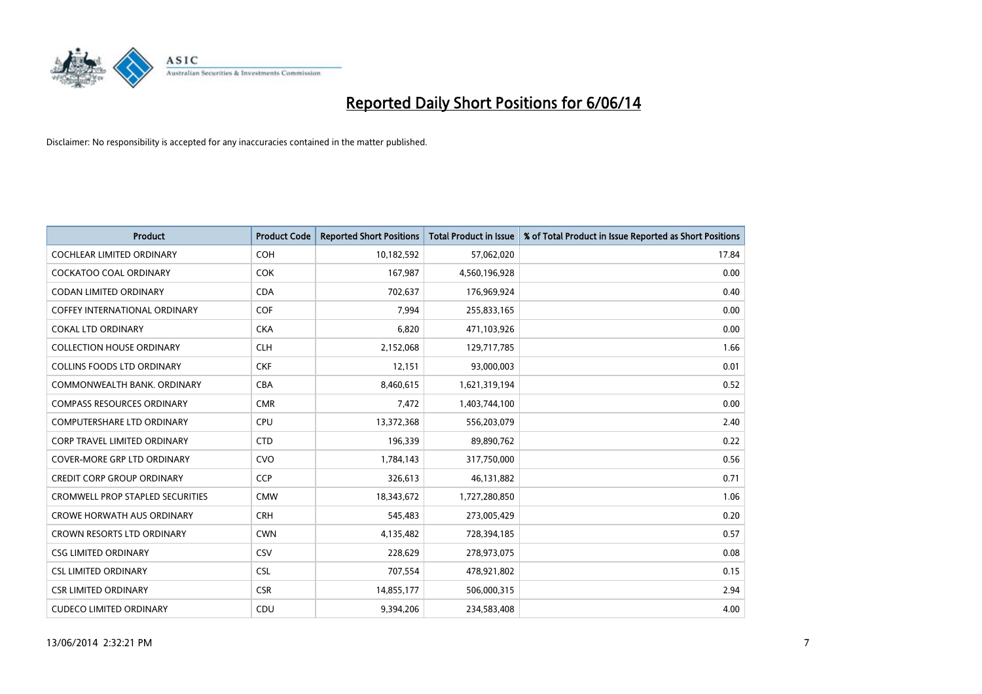

| <b>Product</b>                          | <b>Product Code</b> | <b>Reported Short Positions</b> | <b>Total Product in Issue</b> | % of Total Product in Issue Reported as Short Positions |
|-----------------------------------------|---------------------|---------------------------------|-------------------------------|---------------------------------------------------------|
| <b>COCHLEAR LIMITED ORDINARY</b>        | <b>COH</b>          | 10,182,592                      | 57,062,020                    | 17.84                                                   |
| <b>COCKATOO COAL ORDINARY</b>           | <b>COK</b>          | 167,987                         | 4,560,196,928                 | 0.00                                                    |
| <b>CODAN LIMITED ORDINARY</b>           | <b>CDA</b>          | 702,637                         | 176,969,924                   | 0.40                                                    |
| <b>COFFEY INTERNATIONAL ORDINARY</b>    | <b>COF</b>          | 7,994                           | 255,833,165                   | 0.00                                                    |
| <b>COKAL LTD ORDINARY</b>               | <b>CKA</b>          | 6,820                           | 471,103,926                   | 0.00                                                    |
| <b>COLLECTION HOUSE ORDINARY</b>        | <b>CLH</b>          | 2,152,068                       | 129,717,785                   | 1.66                                                    |
| <b>COLLINS FOODS LTD ORDINARY</b>       | <b>CKF</b>          | 12,151                          | 93,000,003                    | 0.01                                                    |
| COMMONWEALTH BANK, ORDINARY             | <b>CBA</b>          | 8,460,615                       | 1,621,319,194                 | 0.52                                                    |
| <b>COMPASS RESOURCES ORDINARY</b>       | <b>CMR</b>          | 7,472                           | 1,403,744,100                 | 0.00                                                    |
| <b>COMPUTERSHARE LTD ORDINARY</b>       | <b>CPU</b>          | 13,372,368                      | 556,203,079                   | 2.40                                                    |
| <b>CORP TRAVEL LIMITED ORDINARY</b>     | <b>CTD</b>          | 196,339                         | 89,890,762                    | 0.22                                                    |
| <b>COVER-MORE GRP LTD ORDINARY</b>      | <b>CVO</b>          | 1,784,143                       | 317,750,000                   | 0.56                                                    |
| <b>CREDIT CORP GROUP ORDINARY</b>       | <b>CCP</b>          | 326,613                         | 46,131,882                    | 0.71                                                    |
| <b>CROMWELL PROP STAPLED SECURITIES</b> | <b>CMW</b>          | 18,343,672                      | 1,727,280,850                 | 1.06                                                    |
| <b>CROWE HORWATH AUS ORDINARY</b>       | <b>CRH</b>          | 545,483                         | 273,005,429                   | 0.20                                                    |
| <b>CROWN RESORTS LTD ORDINARY</b>       | <b>CWN</b>          | 4,135,482                       | 728,394,185                   | 0.57                                                    |
| <b>CSG LIMITED ORDINARY</b>             | CSV                 | 228,629                         | 278,973,075                   | 0.08                                                    |
| <b>CSL LIMITED ORDINARY</b>             | <b>CSL</b>          | 707,554                         | 478,921,802                   | 0.15                                                    |
| <b>CSR LIMITED ORDINARY</b>             | <b>CSR</b>          | 14,855,177                      | 506,000,315                   | 2.94                                                    |
| <b>CUDECO LIMITED ORDINARY</b>          | CDU                 | 9.394.206                       | 234,583,408                   | 4.00                                                    |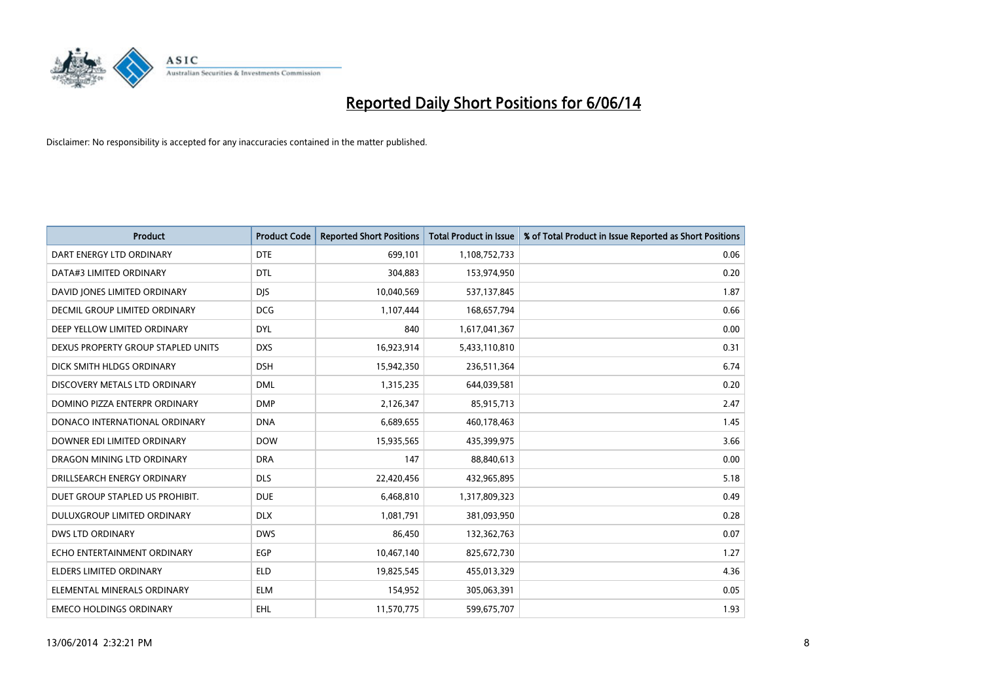

| <b>Product</b>                     | <b>Product Code</b> | <b>Reported Short Positions</b> | <b>Total Product in Issue</b> | % of Total Product in Issue Reported as Short Positions |
|------------------------------------|---------------------|---------------------------------|-------------------------------|---------------------------------------------------------|
| DART ENERGY LTD ORDINARY           | <b>DTE</b>          | 699,101                         | 1,108,752,733                 | 0.06                                                    |
| DATA#3 LIMITED ORDINARY            | <b>DTL</b>          | 304,883                         | 153,974,950                   | 0.20                                                    |
| DAVID JONES LIMITED ORDINARY       | <b>DJS</b>          | 10,040,569                      | 537,137,845                   | 1.87                                                    |
| DECMIL GROUP LIMITED ORDINARY      | <b>DCG</b>          | 1,107,444                       | 168,657,794                   | 0.66                                                    |
| DEEP YELLOW LIMITED ORDINARY       | <b>DYL</b>          | 840                             | 1,617,041,367                 | 0.00                                                    |
| DEXUS PROPERTY GROUP STAPLED UNITS | <b>DXS</b>          | 16,923,914                      | 5,433,110,810                 | 0.31                                                    |
| DICK SMITH HLDGS ORDINARY          | <b>DSH</b>          | 15,942,350                      | 236,511,364                   | 6.74                                                    |
| DISCOVERY METALS LTD ORDINARY      | <b>DML</b>          | 1,315,235                       | 644,039,581                   | 0.20                                                    |
| DOMINO PIZZA ENTERPR ORDINARY      | <b>DMP</b>          | 2,126,347                       | 85,915,713                    | 2.47                                                    |
| DONACO INTERNATIONAL ORDINARY      | <b>DNA</b>          | 6,689,655                       | 460,178,463                   | 1.45                                                    |
| DOWNER EDI LIMITED ORDINARY        | <b>DOW</b>          | 15,935,565                      | 435,399,975                   | 3.66                                                    |
| DRAGON MINING LTD ORDINARY         | <b>DRA</b>          | 147                             | 88,840,613                    | 0.00                                                    |
| DRILLSEARCH ENERGY ORDINARY        | <b>DLS</b>          | 22,420,456                      | 432,965,895                   | 5.18                                                    |
| DUET GROUP STAPLED US PROHIBIT.    | <b>DUE</b>          | 6,468,810                       | 1,317,809,323                 | 0.49                                                    |
| DULUXGROUP LIMITED ORDINARY        | <b>DLX</b>          | 1,081,791                       | 381,093,950                   | 0.28                                                    |
| <b>DWS LTD ORDINARY</b>            | <b>DWS</b>          | 86,450                          | 132,362,763                   | 0.07                                                    |
| ECHO ENTERTAINMENT ORDINARY        | <b>EGP</b>          | 10,467,140                      | 825,672,730                   | 1.27                                                    |
| <b>ELDERS LIMITED ORDINARY</b>     | <b>ELD</b>          | 19,825,545                      | 455,013,329                   | 4.36                                                    |
| ELEMENTAL MINERALS ORDINARY        | <b>ELM</b>          | 154,952                         | 305,063,391                   | 0.05                                                    |
| <b>EMECO HOLDINGS ORDINARY</b>     | <b>EHL</b>          | 11,570,775                      | 599,675,707                   | 1.93                                                    |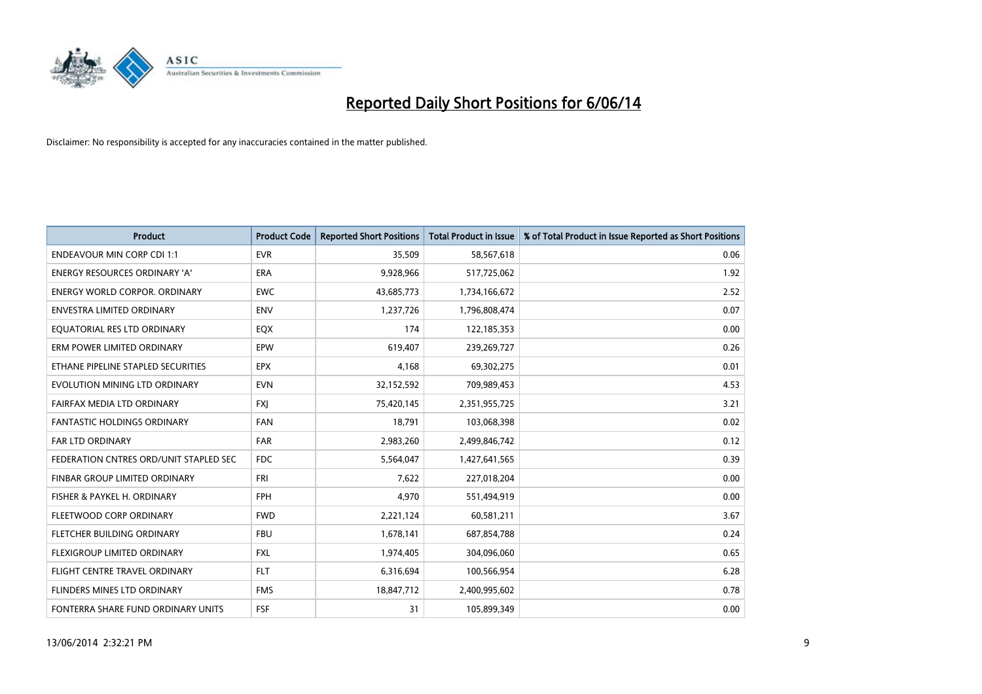

| <b>Product</b>                         | <b>Product Code</b> | <b>Reported Short Positions</b> | <b>Total Product in Issue</b> | % of Total Product in Issue Reported as Short Positions |
|----------------------------------------|---------------------|---------------------------------|-------------------------------|---------------------------------------------------------|
| <b>ENDEAVOUR MIN CORP CDI 1:1</b>      | <b>EVR</b>          | 35,509                          | 58,567,618                    | 0.06                                                    |
| ENERGY RESOURCES ORDINARY 'A'          | <b>ERA</b>          | 9,928,966                       | 517,725,062                   | 1.92                                                    |
| ENERGY WORLD CORPOR, ORDINARY          | <b>EWC</b>          | 43,685,773                      | 1,734,166,672                 | 2.52                                                    |
| ENVESTRA LIMITED ORDINARY              | <b>ENV</b>          | 1,237,726                       | 1,796,808,474                 | 0.07                                                    |
| EOUATORIAL RES LTD ORDINARY            | EQX                 | 174                             | 122,185,353                   | 0.00                                                    |
| ERM POWER LIMITED ORDINARY             | EPW                 | 619,407                         | 239,269,727                   | 0.26                                                    |
| ETHANE PIPELINE STAPLED SECURITIES     | <b>EPX</b>          | 4,168                           | 69,302,275                    | 0.01                                                    |
| EVOLUTION MINING LTD ORDINARY          | <b>EVN</b>          | 32,152,592                      | 709,989,453                   | 4.53                                                    |
| FAIRFAX MEDIA LTD ORDINARY             | <b>FXI</b>          | 75,420,145                      | 2,351,955,725                 | 3.21                                                    |
| <b>FANTASTIC HOLDINGS ORDINARY</b>     | <b>FAN</b>          | 18,791                          | 103,068,398                   | 0.02                                                    |
| FAR LTD ORDINARY                       | <b>FAR</b>          | 2,983,260                       | 2,499,846,742                 | 0.12                                                    |
| FEDERATION CNTRES ORD/UNIT STAPLED SEC | <b>FDC</b>          | 5,564,047                       | 1,427,641,565                 | 0.39                                                    |
| FINBAR GROUP LIMITED ORDINARY          | <b>FRI</b>          | 7,622                           | 227,018,204                   | 0.00                                                    |
| FISHER & PAYKEL H. ORDINARY            | <b>FPH</b>          | 4,970                           | 551,494,919                   | 0.00                                                    |
| FLEETWOOD CORP ORDINARY                | <b>FWD</b>          | 2,221,124                       | 60,581,211                    | 3.67                                                    |
| FLETCHER BUILDING ORDINARY             | <b>FBU</b>          | 1,678,141                       | 687,854,788                   | 0.24                                                    |
| <b>FLEXIGROUP LIMITED ORDINARY</b>     | <b>FXL</b>          | 1,974,405                       | 304,096,060                   | 0.65                                                    |
| FLIGHT CENTRE TRAVEL ORDINARY          | <b>FLT</b>          | 6,316,694                       | 100,566,954                   | 6.28                                                    |
| FLINDERS MINES LTD ORDINARY            | <b>FMS</b>          | 18,847,712                      | 2,400,995,602                 | 0.78                                                    |
| FONTERRA SHARE FUND ORDINARY UNITS     | FSF                 | 31                              | 105,899,349                   | 0.00                                                    |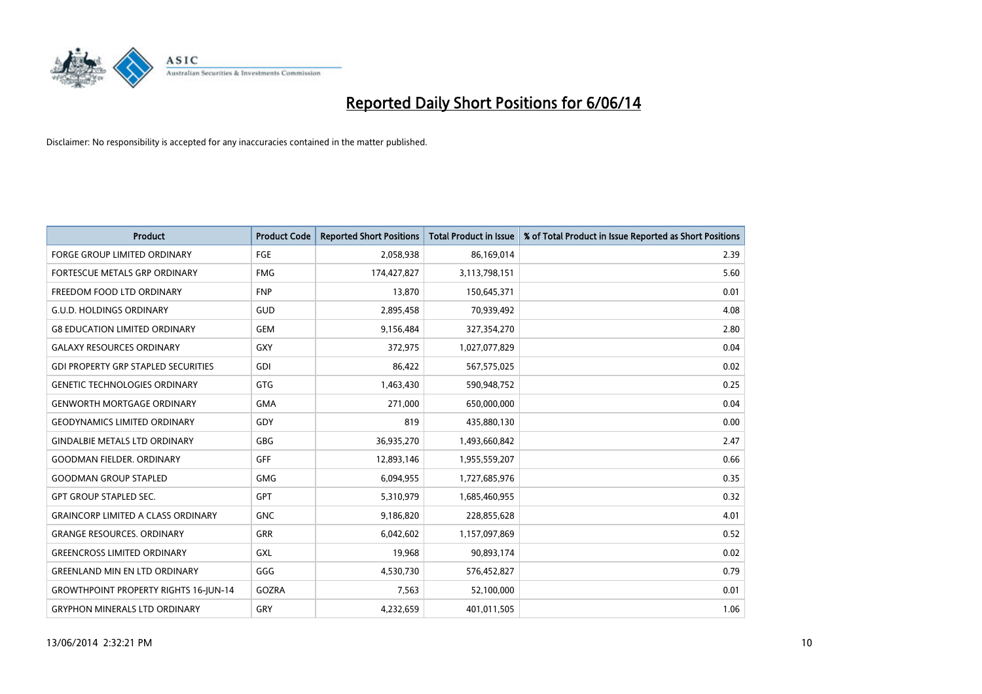

| <b>Product</b>                               | <b>Product Code</b> | <b>Reported Short Positions</b> | <b>Total Product in Issue</b> | % of Total Product in Issue Reported as Short Positions |
|----------------------------------------------|---------------------|---------------------------------|-------------------------------|---------------------------------------------------------|
| <b>FORGE GROUP LIMITED ORDINARY</b>          | <b>FGE</b>          | 2,058,938                       | 86,169,014                    | 2.39                                                    |
| FORTESCUE METALS GRP ORDINARY                | <b>FMG</b>          | 174,427,827                     | 3,113,798,151                 | 5.60                                                    |
| FREEDOM FOOD LTD ORDINARY                    | <b>FNP</b>          | 13,870                          | 150,645,371                   | 0.01                                                    |
| <b>G.U.D. HOLDINGS ORDINARY</b>              | GUD                 | 2,895,458                       | 70,939,492                    | 4.08                                                    |
| <b>G8 EDUCATION LIMITED ORDINARY</b>         | GEM                 | 9,156,484                       | 327,354,270                   | 2.80                                                    |
| <b>GALAXY RESOURCES ORDINARY</b>             | GXY                 | 372,975                         | 1,027,077,829                 | 0.04                                                    |
| <b>GDI PROPERTY GRP STAPLED SECURITIES</b>   | GDI                 | 86,422                          | 567,575,025                   | 0.02                                                    |
| <b>GENETIC TECHNOLOGIES ORDINARY</b>         | <b>GTG</b>          | 1,463,430                       | 590,948,752                   | 0.25                                                    |
| <b>GENWORTH MORTGAGE ORDINARY</b>            | <b>GMA</b>          | 271,000                         | 650,000,000                   | 0.04                                                    |
| <b>GEODYNAMICS LIMITED ORDINARY</b>          | GDY                 | 819                             | 435,880,130                   | 0.00                                                    |
| <b>GINDALBIE METALS LTD ORDINARY</b>         | <b>GBG</b>          | 36,935,270                      | 1,493,660,842                 | 2.47                                                    |
| <b>GOODMAN FIELDER, ORDINARY</b>             | <b>GFF</b>          | 12,893,146                      | 1,955,559,207                 | 0.66                                                    |
| <b>GOODMAN GROUP STAPLED</b>                 | <b>GMG</b>          | 6,094,955                       | 1,727,685,976                 | 0.35                                                    |
| <b>GPT GROUP STAPLED SEC.</b>                | <b>GPT</b>          | 5,310,979                       | 1,685,460,955                 | 0.32                                                    |
| <b>GRAINCORP LIMITED A CLASS ORDINARY</b>    | <b>GNC</b>          | 9,186,820                       | 228,855,628                   | 4.01                                                    |
| <b>GRANGE RESOURCES. ORDINARY</b>            | <b>GRR</b>          | 6,042,602                       | 1,157,097,869                 | 0.52                                                    |
| <b>GREENCROSS LIMITED ORDINARY</b>           | <b>GXL</b>          | 19,968                          | 90,893,174                    | 0.02                                                    |
| <b>GREENLAND MIN EN LTD ORDINARY</b>         | GGG                 | 4,530,730                       | 576,452,827                   | 0.79                                                    |
| <b>GROWTHPOINT PROPERTY RIGHTS 16-JUN-14</b> | GOZRA               | 7,563                           | 52,100,000                    | 0.01                                                    |
| <b>GRYPHON MINERALS LTD ORDINARY</b>         | GRY                 | 4,232,659                       | 401,011,505                   | 1.06                                                    |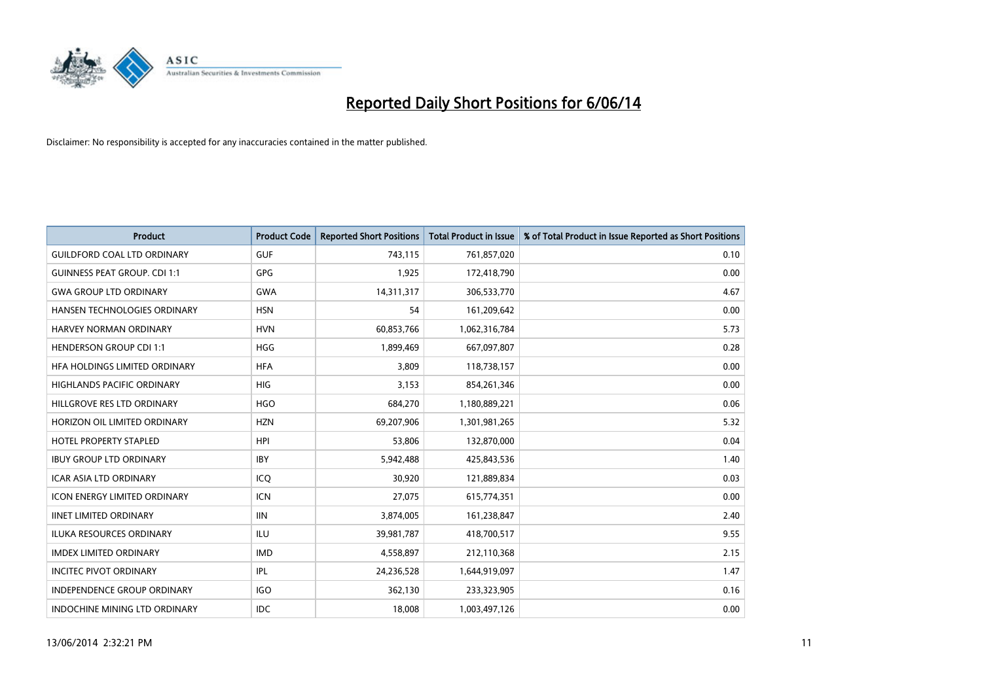

| <b>Product</b>                       | <b>Product Code</b> | <b>Reported Short Positions</b> | <b>Total Product in Issue</b> | % of Total Product in Issue Reported as Short Positions |
|--------------------------------------|---------------------|---------------------------------|-------------------------------|---------------------------------------------------------|
| <b>GUILDFORD COAL LTD ORDINARY</b>   | <b>GUF</b>          | 743,115                         | 761,857,020                   | 0.10                                                    |
| <b>GUINNESS PEAT GROUP. CDI 1:1</b>  | <b>GPG</b>          | 1,925                           | 172,418,790                   | 0.00                                                    |
| <b>GWA GROUP LTD ORDINARY</b>        | <b>GWA</b>          | 14,311,317                      | 306,533,770                   | 4.67                                                    |
| HANSEN TECHNOLOGIES ORDINARY         | <b>HSN</b>          | 54                              | 161,209,642                   | 0.00                                                    |
| HARVEY NORMAN ORDINARY               | <b>HVN</b>          | 60,853,766                      | 1,062,316,784                 | 5.73                                                    |
| <b>HENDERSON GROUP CDI 1:1</b>       | <b>HGG</b>          | 1,899,469                       | 667,097,807                   | 0.28                                                    |
| HFA HOLDINGS LIMITED ORDINARY        | <b>HFA</b>          | 3.809                           | 118,738,157                   | 0.00                                                    |
| <b>HIGHLANDS PACIFIC ORDINARY</b>    | <b>HIG</b>          | 3,153                           | 854,261,346                   | 0.00                                                    |
| HILLGROVE RES LTD ORDINARY           | <b>HGO</b>          | 684,270                         | 1,180,889,221                 | 0.06                                                    |
| HORIZON OIL LIMITED ORDINARY         | <b>HZN</b>          | 69,207,906                      | 1,301,981,265                 | 5.32                                                    |
| <b>HOTEL PROPERTY STAPLED</b>        | <b>HPI</b>          | 53,806                          | 132,870,000                   | 0.04                                                    |
| <b>IBUY GROUP LTD ORDINARY</b>       | <b>IBY</b>          | 5,942,488                       | 425,843,536                   | 1.40                                                    |
| <b>ICAR ASIA LTD ORDINARY</b>        | ICO                 | 30.920                          | 121,889,834                   | 0.03                                                    |
| <b>ICON ENERGY LIMITED ORDINARY</b>  | <b>ICN</b>          | 27,075                          | 615,774,351                   | 0.00                                                    |
| <b>IINET LIMITED ORDINARY</b>        | <b>IIN</b>          | 3,874,005                       | 161,238,847                   | 2.40                                                    |
| <b>ILUKA RESOURCES ORDINARY</b>      | <b>ILU</b>          | 39,981,787                      | 418,700,517                   | 9.55                                                    |
| <b>IMDEX LIMITED ORDINARY</b>        | <b>IMD</b>          | 4,558,897                       | 212,110,368                   | 2.15                                                    |
| <b>INCITEC PIVOT ORDINARY</b>        | IPL                 | 24,236,528                      | 1,644,919,097                 | 1.47                                                    |
| <b>INDEPENDENCE GROUP ORDINARY</b>   | <b>IGO</b>          | 362,130                         | 233,323,905                   | 0.16                                                    |
| <b>INDOCHINE MINING LTD ORDINARY</b> | <b>IDC</b>          | 18,008                          | 1,003,497,126                 | 0.00                                                    |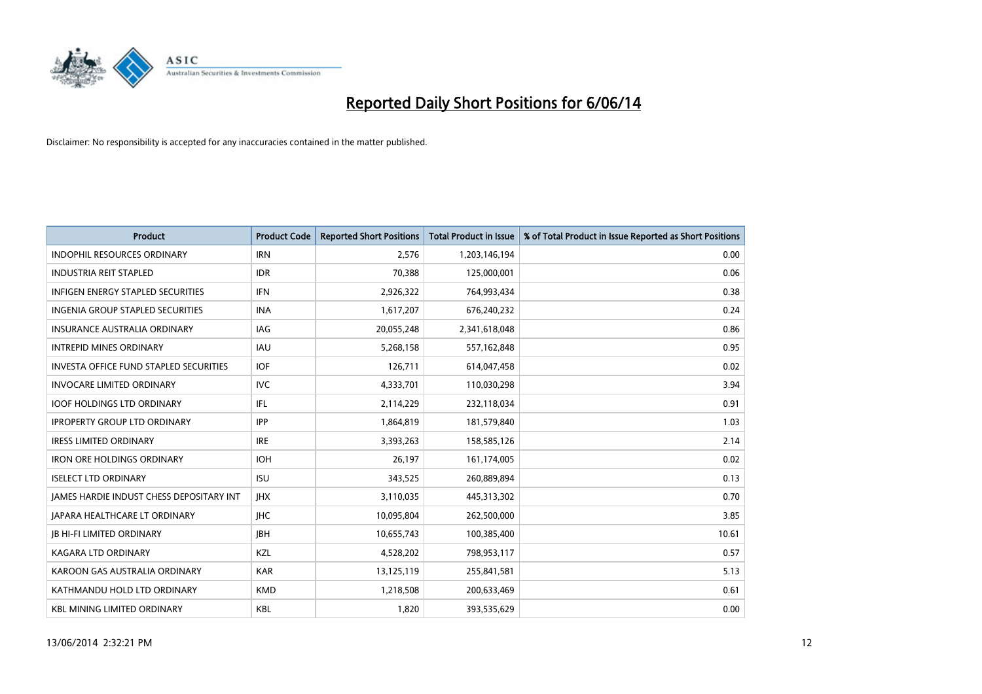

| <b>Product</b>                                  | <b>Product Code</b> | <b>Reported Short Positions</b> | <b>Total Product in Issue</b> | % of Total Product in Issue Reported as Short Positions |
|-------------------------------------------------|---------------------|---------------------------------|-------------------------------|---------------------------------------------------------|
| <b>INDOPHIL RESOURCES ORDINARY</b>              | <b>IRN</b>          | 2,576                           | 1,203,146,194                 | 0.00                                                    |
| <b>INDUSTRIA REIT STAPLED</b>                   | <b>IDR</b>          | 70,388                          | 125,000,001                   | 0.06                                                    |
| <b>INFIGEN ENERGY STAPLED SECURITIES</b>        | <b>IFN</b>          | 2,926,322                       | 764,993,434                   | 0.38                                                    |
| <b>INGENIA GROUP STAPLED SECURITIES</b>         | <b>INA</b>          | 1,617,207                       | 676,240,232                   | 0.24                                                    |
| <b>INSURANCE AUSTRALIA ORDINARY</b>             | IAG                 | 20,055,248                      | 2,341,618,048                 | 0.86                                                    |
| <b>INTREPID MINES ORDINARY</b>                  | <b>IAU</b>          | 5,268,158                       | 557,162,848                   | 0.95                                                    |
| <b>INVESTA OFFICE FUND STAPLED SECURITIES</b>   | <b>IOF</b>          | 126,711                         | 614,047,458                   | 0.02                                                    |
| <b>INVOCARE LIMITED ORDINARY</b>                | <b>IVC</b>          | 4,333,701                       | 110,030,298                   | 3.94                                                    |
| <b>IOOF HOLDINGS LTD ORDINARY</b>               | IFL                 | 2,114,229                       | 232,118,034                   | 0.91                                                    |
| <b>IPROPERTY GROUP LTD ORDINARY</b>             | <b>IPP</b>          | 1,864,819                       | 181,579,840                   | 1.03                                                    |
| <b>IRESS LIMITED ORDINARY</b>                   | <b>IRE</b>          | 3,393,263                       | 158,585,126                   | 2.14                                                    |
| <b>IRON ORE HOLDINGS ORDINARY</b>               | <b>IOH</b>          | 26,197                          | 161,174,005                   | 0.02                                                    |
| <b>ISELECT LTD ORDINARY</b>                     | <b>ISU</b>          | 343,525                         | 260,889,894                   | 0.13                                                    |
| <b>JAMES HARDIE INDUST CHESS DEPOSITARY INT</b> | <b>IHX</b>          | 3,110,035                       | 445,313,302                   | 0.70                                                    |
| <b>JAPARA HEALTHCARE LT ORDINARY</b>            | <b>IHC</b>          | 10,095,804                      | 262,500,000                   | 3.85                                                    |
| <b>IB HI-FI LIMITED ORDINARY</b>                | <b>IBH</b>          | 10,655,743                      | 100,385,400                   | 10.61                                                   |
| <b>KAGARA LTD ORDINARY</b>                      | <b>KZL</b>          | 4,528,202                       | 798,953,117                   | 0.57                                                    |
| KAROON GAS AUSTRALIA ORDINARY                   | <b>KAR</b>          | 13,125,119                      | 255,841,581                   | 5.13                                                    |
| KATHMANDU HOLD LTD ORDINARY                     | <b>KMD</b>          | 1,218,508                       | 200,633,469                   | 0.61                                                    |
| <b>KBL MINING LIMITED ORDINARY</b>              | <b>KBL</b>          | 1,820                           | 393,535,629                   | 0.00                                                    |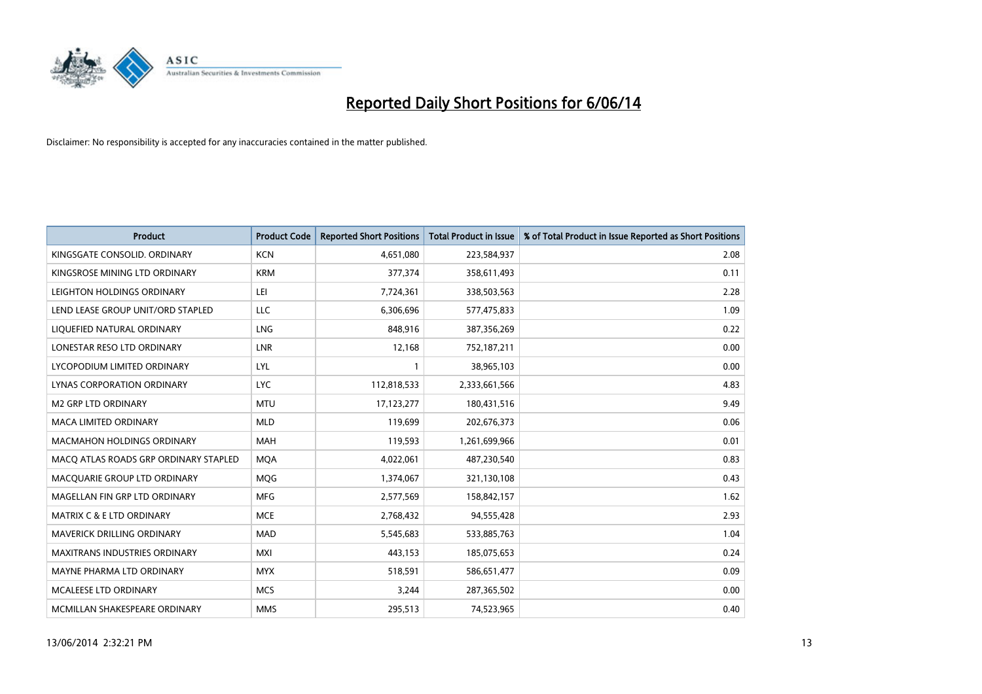

| <b>Product</b>                        | <b>Product Code</b> | <b>Reported Short Positions</b> | <b>Total Product in Issue</b> | % of Total Product in Issue Reported as Short Positions |
|---------------------------------------|---------------------|---------------------------------|-------------------------------|---------------------------------------------------------|
| KINGSGATE CONSOLID. ORDINARY          | <b>KCN</b>          | 4,651,080                       | 223,584,937                   | 2.08                                                    |
| KINGSROSE MINING LTD ORDINARY         | <b>KRM</b>          | 377,374                         | 358,611,493                   | 0.11                                                    |
| LEIGHTON HOLDINGS ORDINARY            | LEI                 | 7,724,361                       | 338,503,563                   | 2.28                                                    |
| LEND LEASE GROUP UNIT/ORD STAPLED     | LLC                 | 6,306,696                       | 577,475,833                   | 1.09                                                    |
| LIQUEFIED NATURAL ORDINARY            | <b>LNG</b>          | 848,916                         | 387,356,269                   | 0.22                                                    |
| LONESTAR RESO LTD ORDINARY            | LNR                 | 12,168                          | 752,187,211                   | 0.00                                                    |
| LYCOPODIUM LIMITED ORDINARY           | LYL                 |                                 | 38,965,103                    | 0.00                                                    |
| LYNAS CORPORATION ORDINARY            | <b>LYC</b>          | 112,818,533                     | 2,333,661,566                 | 4.83                                                    |
| <b>M2 GRP LTD ORDINARY</b>            | <b>MTU</b>          | 17,123,277                      | 180,431,516                   | 9.49                                                    |
| <b>MACA LIMITED ORDINARY</b>          | <b>MLD</b>          | 119,699                         | 202,676,373                   | 0.06                                                    |
| <b>MACMAHON HOLDINGS ORDINARY</b>     | <b>MAH</b>          | 119,593                         | 1,261,699,966                 | 0.01                                                    |
| MACQ ATLAS ROADS GRP ORDINARY STAPLED | <b>MOA</b>          | 4,022,061                       | 487,230,540                   | 0.83                                                    |
| MACQUARIE GROUP LTD ORDINARY          | MQG                 | 1,374,067                       | 321,130,108                   | 0.43                                                    |
| MAGELLAN FIN GRP LTD ORDINARY         | <b>MFG</b>          | 2,577,569                       | 158,842,157                   | 1.62                                                    |
| <b>MATRIX C &amp; E LTD ORDINARY</b>  | <b>MCE</b>          | 2,768,432                       | 94,555,428                    | 2.93                                                    |
| MAVERICK DRILLING ORDINARY            | <b>MAD</b>          | 5,545,683                       | 533,885,763                   | 1.04                                                    |
| <b>MAXITRANS INDUSTRIES ORDINARY</b>  | <b>MXI</b>          | 443,153                         | 185,075,653                   | 0.24                                                    |
| MAYNE PHARMA LTD ORDINARY             | <b>MYX</b>          | 518,591                         | 586,651,477                   | 0.09                                                    |
| MCALEESE LTD ORDINARY                 | <b>MCS</b>          | 3,244                           | 287,365,502                   | 0.00                                                    |
| MCMILLAN SHAKESPEARE ORDINARY         | <b>MMS</b>          | 295,513                         | 74,523,965                    | 0.40                                                    |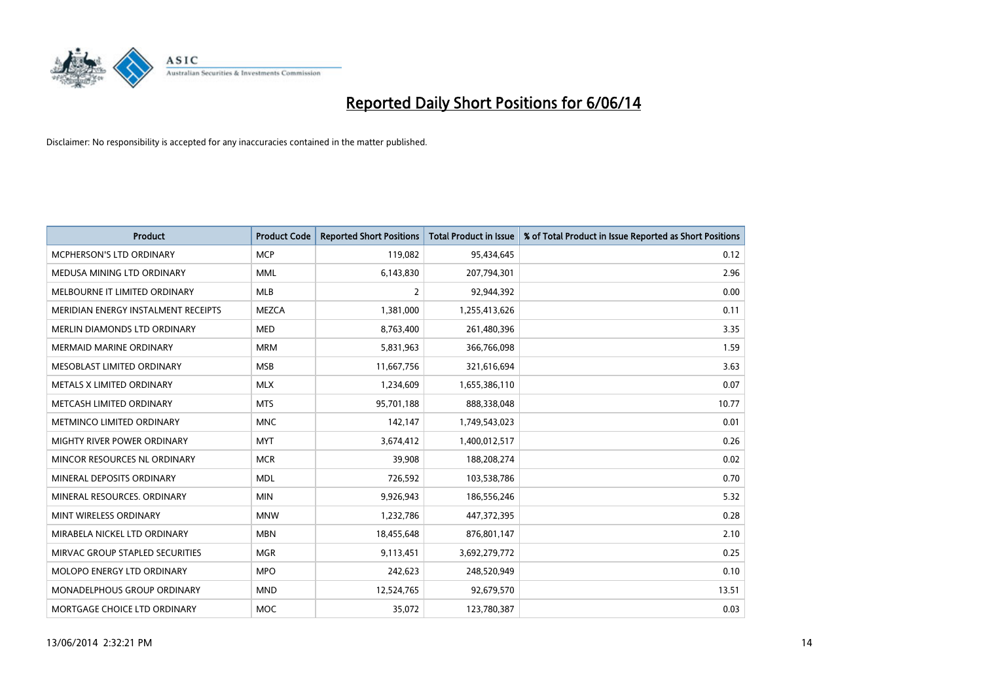

| <b>Product</b>                      | <b>Product Code</b> | <b>Reported Short Positions</b> | <b>Total Product in Issue</b> | % of Total Product in Issue Reported as Short Positions |
|-------------------------------------|---------------------|---------------------------------|-------------------------------|---------------------------------------------------------|
| <b>MCPHERSON'S LTD ORDINARY</b>     | <b>MCP</b>          | 119,082                         | 95,434,645                    | 0.12                                                    |
| MEDUSA MINING LTD ORDINARY          | <b>MML</b>          | 6,143,830                       | 207,794,301                   | 2.96                                                    |
| MELBOURNE IT LIMITED ORDINARY       | <b>MLB</b>          | $\overline{2}$                  | 92,944,392                    | 0.00                                                    |
| MERIDIAN ENERGY INSTALMENT RECEIPTS | <b>MEZCA</b>        | 1,381,000                       | 1,255,413,626                 | 0.11                                                    |
| <b>MERLIN DIAMONDS LTD ORDINARY</b> | <b>MED</b>          | 8,763,400                       | 261,480,396                   | 3.35                                                    |
| <b>MERMAID MARINE ORDINARY</b>      | <b>MRM</b>          | 5,831,963                       | 366,766,098                   | 1.59                                                    |
| MESOBLAST LIMITED ORDINARY          | <b>MSB</b>          | 11,667,756                      | 321,616,694                   | 3.63                                                    |
| METALS X LIMITED ORDINARY           | <b>MLX</b>          | 1,234,609                       | 1,655,386,110                 | 0.07                                                    |
| METCASH LIMITED ORDINARY            | <b>MTS</b>          | 95,701,188                      | 888,338,048                   | 10.77                                                   |
| METMINCO LIMITED ORDINARY           | <b>MNC</b>          | 142,147                         | 1,749,543,023                 | 0.01                                                    |
| MIGHTY RIVER POWER ORDINARY         | <b>MYT</b>          | 3,674,412                       | 1,400,012,517                 | 0.26                                                    |
| MINCOR RESOURCES NL ORDINARY        | <b>MCR</b>          | 39,908                          | 188,208,274                   | 0.02                                                    |
| MINERAL DEPOSITS ORDINARY           | <b>MDL</b>          | 726,592                         | 103,538,786                   | 0.70                                                    |
| MINERAL RESOURCES, ORDINARY         | <b>MIN</b>          | 9,926,943                       | 186,556,246                   | 5.32                                                    |
| MINT WIRELESS ORDINARY              | <b>MNW</b>          | 1,232,786                       | 447,372,395                   | 0.28                                                    |
| MIRABELA NICKEL LTD ORDINARY        | <b>MBN</b>          | 18,455,648                      | 876,801,147                   | 2.10                                                    |
| MIRVAC GROUP STAPLED SECURITIES     | <b>MGR</b>          | 9,113,451                       | 3,692,279,772                 | 0.25                                                    |
| MOLOPO ENERGY LTD ORDINARY          | <b>MPO</b>          | 242,623                         | 248,520,949                   | 0.10                                                    |
| <b>MONADELPHOUS GROUP ORDINARY</b>  | <b>MND</b>          | 12,524,765                      | 92,679,570                    | 13.51                                                   |
| MORTGAGE CHOICE LTD ORDINARY        | <b>MOC</b>          | 35,072                          | 123,780,387                   | 0.03                                                    |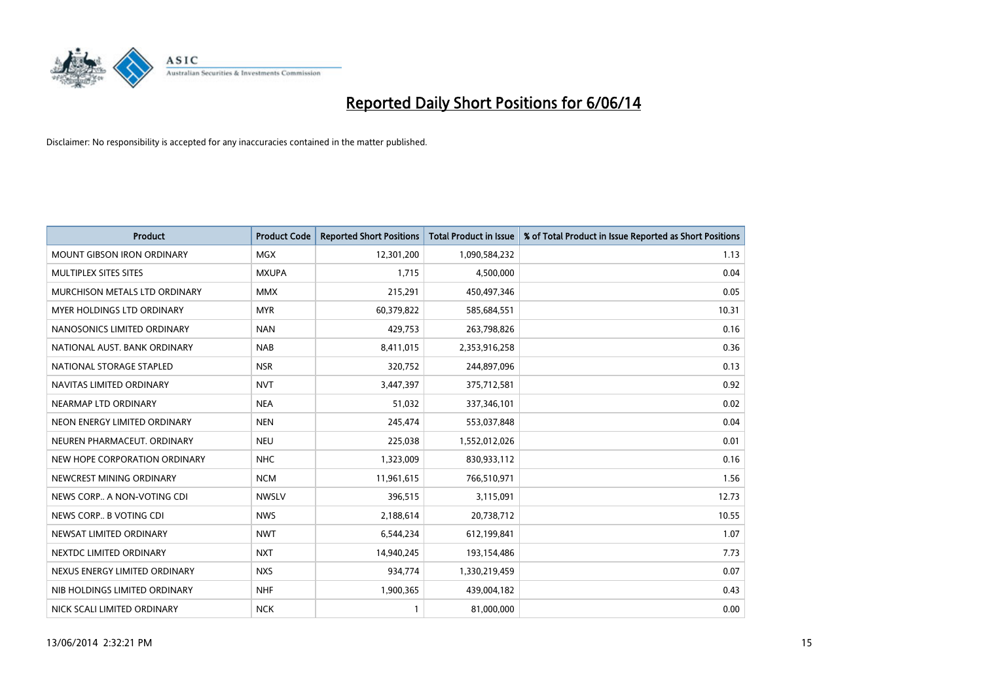

| <b>Product</b>                    | <b>Product Code</b> | <b>Reported Short Positions</b> | <b>Total Product in Issue</b> | % of Total Product in Issue Reported as Short Positions |
|-----------------------------------|---------------------|---------------------------------|-------------------------------|---------------------------------------------------------|
| <b>MOUNT GIBSON IRON ORDINARY</b> | <b>MGX</b>          | 12,301,200                      | 1,090,584,232                 | 1.13                                                    |
| MULTIPLEX SITES SITES             | <b>MXUPA</b>        | 1,715                           | 4,500,000                     | 0.04                                                    |
| MURCHISON METALS LTD ORDINARY     | <b>MMX</b>          | 215,291                         | 450,497,346                   | 0.05                                                    |
| MYER HOLDINGS LTD ORDINARY        | <b>MYR</b>          | 60,379,822                      | 585,684,551                   | 10.31                                                   |
| NANOSONICS LIMITED ORDINARY       | <b>NAN</b>          | 429,753                         | 263,798,826                   | 0.16                                                    |
| NATIONAL AUST. BANK ORDINARY      | <b>NAB</b>          | 8,411,015                       | 2,353,916,258                 | 0.36                                                    |
| NATIONAL STORAGE STAPLED          | <b>NSR</b>          | 320,752                         | 244,897,096                   | 0.13                                                    |
| NAVITAS LIMITED ORDINARY          | <b>NVT</b>          | 3,447,397                       | 375,712,581                   | 0.92                                                    |
| NEARMAP LTD ORDINARY              | <b>NEA</b>          | 51,032                          | 337,346,101                   | 0.02                                                    |
| NEON ENERGY LIMITED ORDINARY      | <b>NEN</b>          | 245,474                         | 553,037,848                   | 0.04                                                    |
| NEUREN PHARMACEUT. ORDINARY       | <b>NEU</b>          | 225,038                         | 1,552,012,026                 | 0.01                                                    |
| NEW HOPE CORPORATION ORDINARY     | <b>NHC</b>          | 1,323,009                       | 830,933,112                   | 0.16                                                    |
| NEWCREST MINING ORDINARY          | <b>NCM</b>          | 11,961,615                      | 766,510,971                   | 1.56                                                    |
| NEWS CORP A NON-VOTING CDI        | <b>NWSLV</b>        | 396,515                         | 3,115,091                     | 12.73                                                   |
| NEWS CORP B VOTING CDI            | <b>NWS</b>          | 2,188,614                       | 20,738,712                    | 10.55                                                   |
| NEWSAT LIMITED ORDINARY           | <b>NWT</b>          | 6,544,234                       | 612,199,841                   | 1.07                                                    |
| NEXTDC LIMITED ORDINARY           | <b>NXT</b>          | 14,940,245                      | 193,154,486                   | 7.73                                                    |
| NEXUS ENERGY LIMITED ORDINARY     | <b>NXS</b>          | 934,774                         | 1,330,219,459                 | 0.07                                                    |
| NIB HOLDINGS LIMITED ORDINARY     | <b>NHF</b>          | 1,900,365                       | 439,004,182                   | 0.43                                                    |
| NICK SCALI LIMITED ORDINARY       | <b>NCK</b>          | 1                               | 81,000,000                    | 0.00                                                    |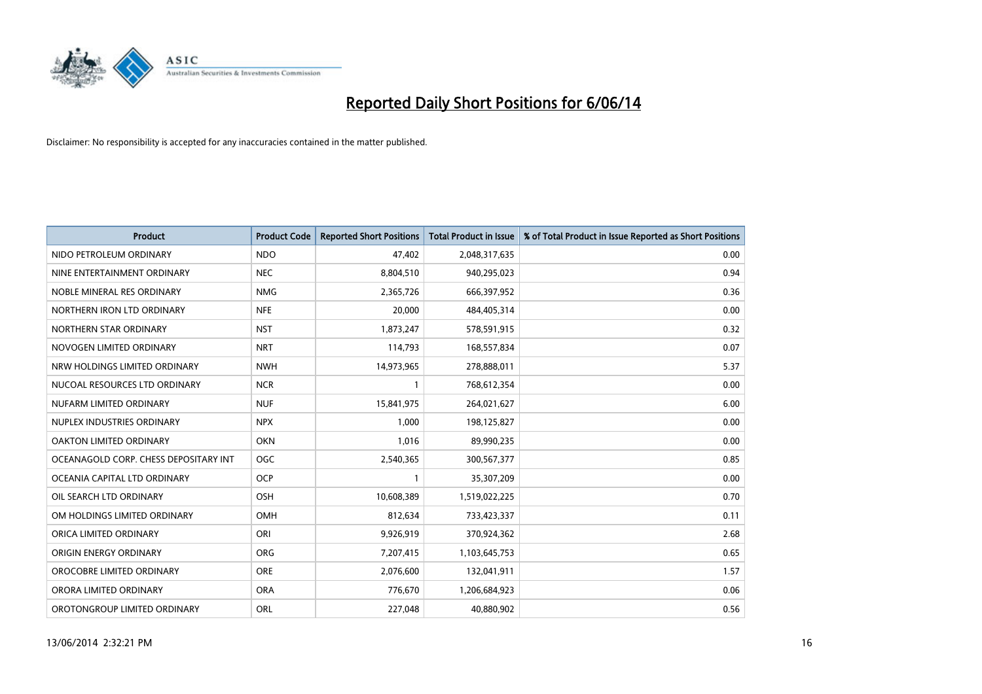

| <b>Product</b>                        | <b>Product Code</b> | <b>Reported Short Positions</b> | <b>Total Product in Issue</b> | % of Total Product in Issue Reported as Short Positions |
|---------------------------------------|---------------------|---------------------------------|-------------------------------|---------------------------------------------------------|
| NIDO PETROLEUM ORDINARY               | <b>NDO</b>          | 47,402                          | 2,048,317,635                 | 0.00                                                    |
| NINE ENTERTAINMENT ORDINARY           | <b>NEC</b>          | 8,804,510                       | 940,295,023                   | 0.94                                                    |
| NOBLE MINERAL RES ORDINARY            | <b>NMG</b>          | 2,365,726                       | 666,397,952                   | 0.36                                                    |
| NORTHERN IRON LTD ORDINARY            | <b>NFE</b>          | 20.000                          | 484,405,314                   | 0.00                                                    |
| NORTHERN STAR ORDINARY                | <b>NST</b>          | 1,873,247                       | 578,591,915                   | 0.32                                                    |
| NOVOGEN LIMITED ORDINARY              | <b>NRT</b>          | 114,793                         | 168,557,834                   | 0.07                                                    |
| NRW HOLDINGS LIMITED ORDINARY         | <b>NWH</b>          | 14,973,965                      | 278,888,011                   | 5.37                                                    |
| NUCOAL RESOURCES LTD ORDINARY         | <b>NCR</b>          | 1                               | 768,612,354                   | 0.00                                                    |
| NUFARM LIMITED ORDINARY               | <b>NUF</b>          | 15,841,975                      | 264,021,627                   | 6.00                                                    |
| NUPLEX INDUSTRIES ORDINARY            | <b>NPX</b>          | 1,000                           | 198,125,827                   | 0.00                                                    |
| OAKTON LIMITED ORDINARY               | <b>OKN</b>          | 1,016                           | 89,990,235                    | 0.00                                                    |
| OCEANAGOLD CORP. CHESS DEPOSITARY INT | <b>OGC</b>          | 2,540,365                       | 300,567,377                   | 0.85                                                    |
| OCEANIA CAPITAL LTD ORDINARY          | <b>OCP</b>          | 1                               | 35,307,209                    | 0.00                                                    |
| OIL SEARCH LTD ORDINARY               | OSH                 | 10,608,389                      | 1,519,022,225                 | 0.70                                                    |
| OM HOLDINGS LIMITED ORDINARY          | OMH                 | 812,634                         | 733,423,337                   | 0.11                                                    |
| ORICA LIMITED ORDINARY                | ORI                 | 9,926,919                       | 370,924,362                   | 2.68                                                    |
| ORIGIN ENERGY ORDINARY                | <b>ORG</b>          | 7,207,415                       | 1,103,645,753                 | 0.65                                                    |
| OROCOBRE LIMITED ORDINARY             | <b>ORE</b>          | 2,076,600                       | 132,041,911                   | 1.57                                                    |
| ORORA LIMITED ORDINARY                | <b>ORA</b>          | 776,670                         | 1,206,684,923                 | 0.06                                                    |
| OROTONGROUP LIMITED ORDINARY          | ORL                 | 227,048                         | 40,880,902                    | 0.56                                                    |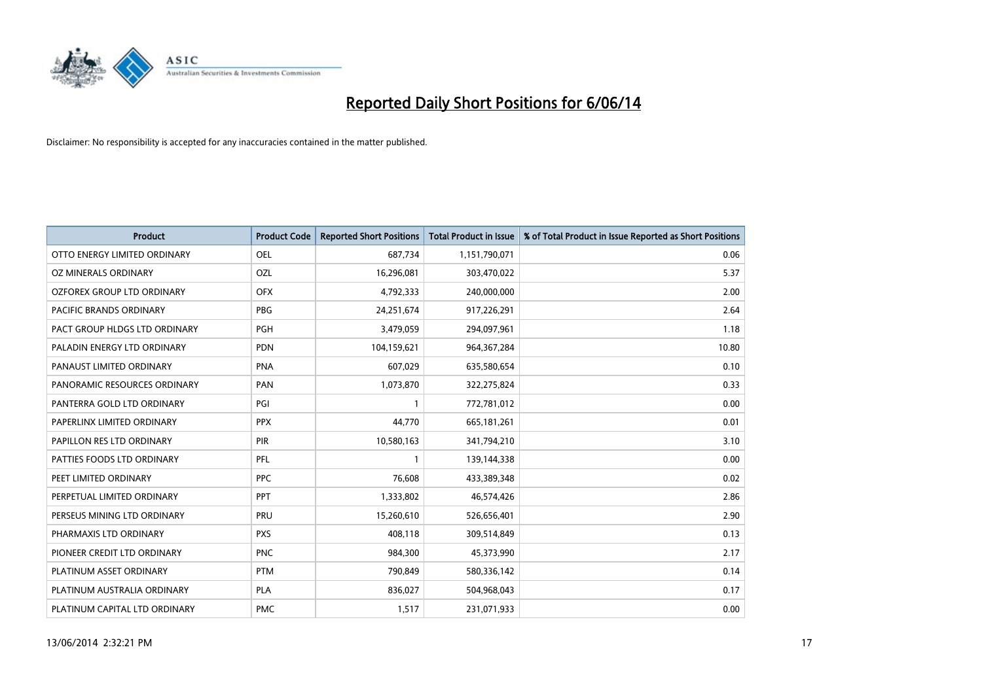

| <b>Product</b>                | <b>Product Code</b> | <b>Reported Short Positions</b> | <b>Total Product in Issue</b> | % of Total Product in Issue Reported as Short Positions |
|-------------------------------|---------------------|---------------------------------|-------------------------------|---------------------------------------------------------|
| OTTO ENERGY LIMITED ORDINARY  | <b>OEL</b>          | 687,734                         | 1,151,790,071                 | 0.06                                                    |
| OZ MINERALS ORDINARY          | OZL                 | 16,296,081                      | 303,470,022                   | 5.37                                                    |
| OZFOREX GROUP LTD ORDINARY    | <b>OFX</b>          | 4,792,333                       | 240,000,000                   | 2.00                                                    |
| PACIFIC BRANDS ORDINARY       | <b>PBG</b>          | 24,251,674                      | 917,226,291                   | 2.64                                                    |
| PACT GROUP HLDGS LTD ORDINARY | <b>PGH</b>          | 3,479,059                       | 294,097,961                   | 1.18                                                    |
| PALADIN ENERGY LTD ORDINARY   | <b>PDN</b>          | 104,159,621                     | 964,367,284                   | 10.80                                                   |
| PANAUST LIMITED ORDINARY      | <b>PNA</b>          | 607,029                         | 635,580,654                   | 0.10                                                    |
| PANORAMIC RESOURCES ORDINARY  | PAN                 | 1,073,870                       | 322,275,824                   | 0.33                                                    |
| PANTERRA GOLD LTD ORDINARY    | PGI                 |                                 | 772,781,012                   | 0.00                                                    |
| PAPERLINX LIMITED ORDINARY    | <b>PPX</b>          | 44,770                          | 665,181,261                   | 0.01                                                    |
| PAPILLON RES LTD ORDINARY     | PIR                 | 10,580,163                      | 341,794,210                   | 3.10                                                    |
| PATTIES FOODS LTD ORDINARY    | PFL                 |                                 | 139,144,338                   | 0.00                                                    |
| PEET LIMITED ORDINARY         | <b>PPC</b>          | 76,608                          | 433,389,348                   | 0.02                                                    |
| PERPETUAL LIMITED ORDINARY    | PPT                 | 1,333,802                       | 46,574,426                    | 2.86                                                    |
| PERSEUS MINING LTD ORDINARY   | PRU                 | 15,260,610                      | 526,656,401                   | 2.90                                                    |
| PHARMAXIS LTD ORDINARY        | <b>PXS</b>          | 408,118                         | 309,514,849                   | 0.13                                                    |
| PIONEER CREDIT LTD ORDINARY   | <b>PNC</b>          | 984,300                         | 45,373,990                    | 2.17                                                    |
| PLATINUM ASSET ORDINARY       | <b>PTM</b>          | 790,849                         | 580,336,142                   | 0.14                                                    |
| PLATINUM AUSTRALIA ORDINARY   | <b>PLA</b>          | 836,027                         | 504,968,043                   | 0.17                                                    |
| PLATINUM CAPITAL LTD ORDINARY | <b>PMC</b>          | 1,517                           | 231,071,933                   | 0.00                                                    |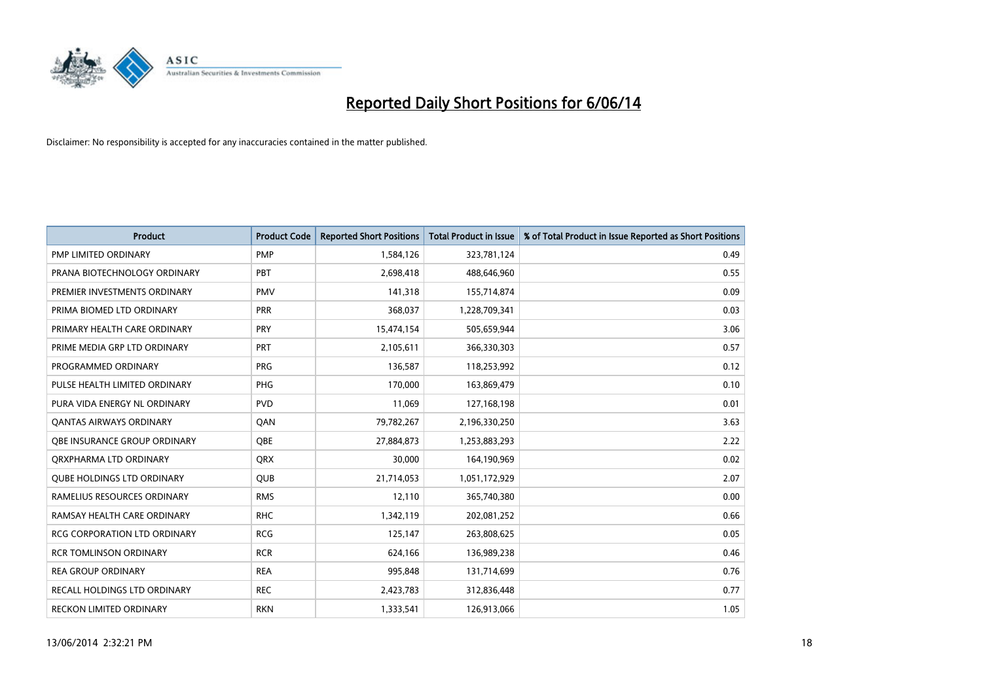

| <b>Product</b>                      | <b>Product Code</b> | <b>Reported Short Positions</b> | <b>Total Product in Issue</b> | % of Total Product in Issue Reported as Short Positions |
|-------------------------------------|---------------------|---------------------------------|-------------------------------|---------------------------------------------------------|
| PMP LIMITED ORDINARY                | <b>PMP</b>          | 1,584,126                       | 323,781,124                   | 0.49                                                    |
| PRANA BIOTECHNOLOGY ORDINARY        | PBT                 | 2,698,418                       | 488,646,960                   | 0.55                                                    |
| PREMIER INVESTMENTS ORDINARY        | <b>PMV</b>          | 141,318                         | 155,714,874                   | 0.09                                                    |
| PRIMA BIOMED LTD ORDINARY           | <b>PRR</b>          | 368,037                         | 1,228,709,341                 | 0.03                                                    |
| PRIMARY HEALTH CARE ORDINARY        | PRY                 | 15,474,154                      | 505,659,944                   | 3.06                                                    |
| PRIME MEDIA GRP LTD ORDINARY        | PRT                 | 2,105,611                       | 366,330,303                   | 0.57                                                    |
| PROGRAMMED ORDINARY                 | <b>PRG</b>          | 136,587                         | 118,253,992                   | 0.12                                                    |
| PULSE HEALTH LIMITED ORDINARY       | PHG                 | 170,000                         | 163,869,479                   | 0.10                                                    |
| PURA VIDA ENERGY NL ORDINARY        | <b>PVD</b>          | 11,069                          | 127,168,198                   | 0.01                                                    |
| OANTAS AIRWAYS ORDINARY             | QAN                 | 79,782,267                      | 2,196,330,250                 | 3.63                                                    |
| OBE INSURANCE GROUP ORDINARY        | <b>OBE</b>          | 27,884,873                      | 1,253,883,293                 | 2.22                                                    |
| ORXPHARMA LTD ORDINARY              | <b>QRX</b>          | 30,000                          | 164,190,969                   | 0.02                                                    |
| <b>QUBE HOLDINGS LTD ORDINARY</b>   | <b>OUB</b>          | 21,714,053                      | 1,051,172,929                 | 2.07                                                    |
| RAMELIUS RESOURCES ORDINARY         | <b>RMS</b>          | 12,110                          | 365,740,380                   | 0.00                                                    |
| RAMSAY HEALTH CARE ORDINARY         | <b>RHC</b>          | 1,342,119                       | 202,081,252                   | 0.66                                                    |
| <b>RCG CORPORATION LTD ORDINARY</b> | <b>RCG</b>          | 125,147                         | 263,808,625                   | 0.05                                                    |
| <b>RCR TOMLINSON ORDINARY</b>       | <b>RCR</b>          | 624,166                         | 136,989,238                   | 0.46                                                    |
| <b>REA GROUP ORDINARY</b>           | <b>REA</b>          | 995,848                         | 131,714,699                   | 0.76                                                    |
| RECALL HOLDINGS LTD ORDINARY        | <b>REC</b>          | 2,423,783                       | 312,836,448                   | 0.77                                                    |
| RECKON LIMITED ORDINARY             | <b>RKN</b>          | 1,333,541                       | 126,913,066                   | 1.05                                                    |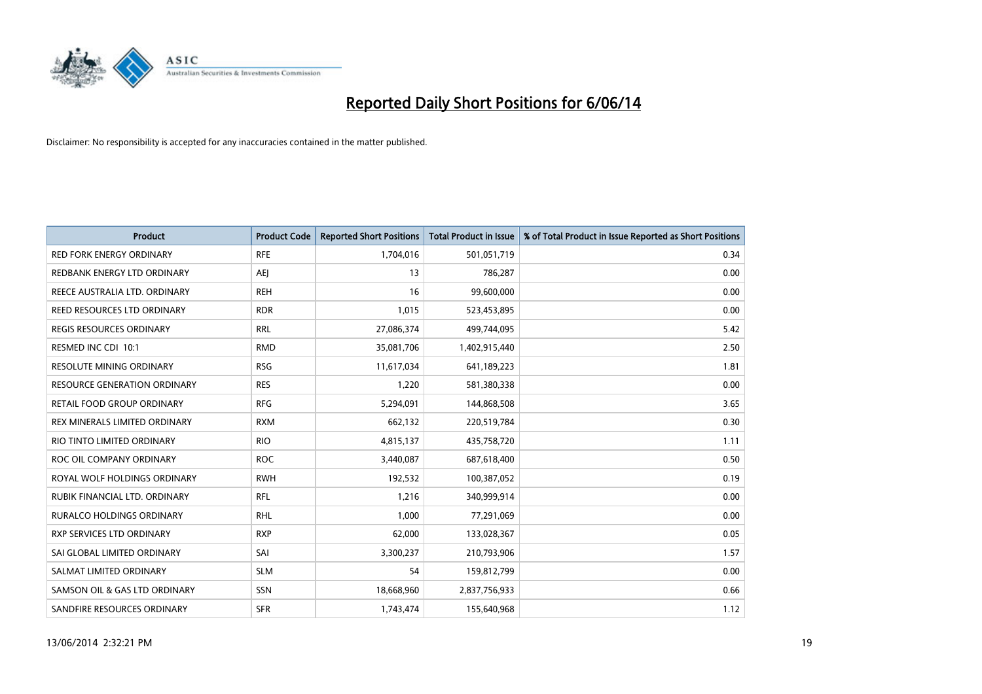

| <b>Product</b>                   | <b>Product Code</b> | <b>Reported Short Positions</b> | <b>Total Product in Issue</b> | % of Total Product in Issue Reported as Short Positions |
|----------------------------------|---------------------|---------------------------------|-------------------------------|---------------------------------------------------------|
| <b>RED FORK ENERGY ORDINARY</b>  | <b>RFE</b>          | 1,704,016                       | 501,051,719                   | 0.34                                                    |
| REDBANK ENERGY LTD ORDINARY      | AEJ                 | 13                              | 786,287                       | 0.00                                                    |
| REECE AUSTRALIA LTD. ORDINARY    | <b>REH</b>          | 16                              | 99,600,000                    | 0.00                                                    |
| REED RESOURCES LTD ORDINARY      | <b>RDR</b>          | 1,015                           | 523,453,895                   | 0.00                                                    |
| <b>REGIS RESOURCES ORDINARY</b>  | <b>RRL</b>          | 27,086,374                      | 499,744,095                   | 5.42                                                    |
| RESMED INC CDI 10:1              | <b>RMD</b>          | 35,081,706                      | 1,402,915,440                 | 2.50                                                    |
| <b>RESOLUTE MINING ORDINARY</b>  | <b>RSG</b>          | 11,617,034                      | 641,189,223                   | 1.81                                                    |
| RESOURCE GENERATION ORDINARY     | <b>RES</b>          | 1,220                           | 581,380,338                   | 0.00                                                    |
| RETAIL FOOD GROUP ORDINARY       | <b>RFG</b>          | 5,294,091                       | 144,868,508                   | 3.65                                                    |
| REX MINERALS LIMITED ORDINARY    | <b>RXM</b>          | 662,132                         | 220,519,784                   | 0.30                                                    |
| RIO TINTO LIMITED ORDINARY       | <b>RIO</b>          | 4,815,137                       | 435,758,720                   | 1.11                                                    |
| ROC OIL COMPANY ORDINARY         | <b>ROC</b>          | 3,440,087                       | 687,618,400                   | 0.50                                                    |
| ROYAL WOLF HOLDINGS ORDINARY     | <b>RWH</b>          | 192,532                         | 100,387,052                   | 0.19                                                    |
| RUBIK FINANCIAL LTD. ORDINARY    | <b>RFL</b>          | 1,216                           | 340,999,914                   | 0.00                                                    |
| <b>RURALCO HOLDINGS ORDINARY</b> | <b>RHL</b>          | 1,000                           | 77,291,069                    | 0.00                                                    |
| RXP SERVICES LTD ORDINARY        | <b>RXP</b>          | 62,000                          | 133,028,367                   | 0.05                                                    |
| SAI GLOBAL LIMITED ORDINARY      | SAI                 | 3,300,237                       | 210,793,906                   | 1.57                                                    |
| SALMAT LIMITED ORDINARY          | <b>SLM</b>          | 54                              | 159,812,799                   | 0.00                                                    |
| SAMSON OIL & GAS LTD ORDINARY    | SSN                 | 18,668,960                      | 2,837,756,933                 | 0.66                                                    |
| SANDFIRE RESOURCES ORDINARY      | <b>SFR</b>          | 1,743,474                       | 155,640,968                   | 1.12                                                    |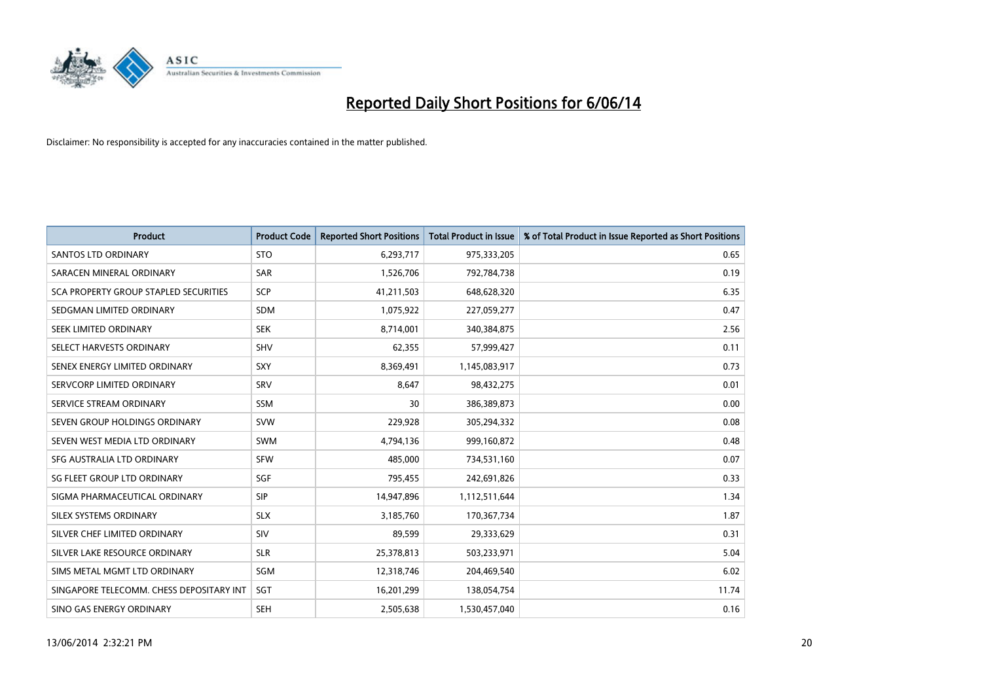

| <b>Product</b>                           | <b>Product Code</b> | <b>Reported Short Positions</b> | <b>Total Product in Issue</b> | % of Total Product in Issue Reported as Short Positions |
|------------------------------------------|---------------------|---------------------------------|-------------------------------|---------------------------------------------------------|
| <b>SANTOS LTD ORDINARY</b>               | <b>STO</b>          | 6,293,717                       | 975,333,205                   | 0.65                                                    |
| SARACEN MINERAL ORDINARY                 | SAR                 | 1,526,706                       | 792,784,738                   | 0.19                                                    |
| SCA PROPERTY GROUP STAPLED SECURITIES    | <b>SCP</b>          | 41,211,503                      | 648,628,320                   | 6.35                                                    |
| SEDGMAN LIMITED ORDINARY                 | <b>SDM</b>          | 1,075,922                       | 227,059,277                   | 0.47                                                    |
| SEEK LIMITED ORDINARY                    | <b>SEK</b>          | 8,714,001                       | 340,384,875                   | 2.56                                                    |
| SELECT HARVESTS ORDINARY                 | <b>SHV</b>          | 62,355                          | 57,999,427                    | 0.11                                                    |
| SENEX ENERGY LIMITED ORDINARY            | SXY                 | 8,369,491                       | 1,145,083,917                 | 0.73                                                    |
| SERVCORP LIMITED ORDINARY                | SRV                 | 8,647                           | 98,432,275                    | 0.01                                                    |
| SERVICE STREAM ORDINARY                  | <b>SSM</b>          | 30                              | 386,389,873                   | 0.00                                                    |
| SEVEN GROUP HOLDINGS ORDINARY            | <b>SVW</b>          | 229,928                         | 305,294,332                   | 0.08                                                    |
| SEVEN WEST MEDIA LTD ORDINARY            | <b>SWM</b>          | 4,794,136                       | 999,160,872                   | 0.48                                                    |
| SFG AUSTRALIA LTD ORDINARY               | <b>SFW</b>          | 485,000                         | 734,531,160                   | 0.07                                                    |
| SG FLEET GROUP LTD ORDINARY              | SGF                 | 795,455                         | 242,691,826                   | 0.33                                                    |
| SIGMA PHARMACEUTICAL ORDINARY            | <b>SIP</b>          | 14,947,896                      | 1,112,511,644                 | 1.34                                                    |
| SILEX SYSTEMS ORDINARY                   | <b>SLX</b>          | 3,185,760                       | 170,367,734                   | 1.87                                                    |
| SILVER CHEF LIMITED ORDINARY             | <b>SIV</b>          | 89,599                          | 29,333,629                    | 0.31                                                    |
| SILVER LAKE RESOURCE ORDINARY            | <b>SLR</b>          | 25,378,813                      | 503,233,971                   | 5.04                                                    |
| SIMS METAL MGMT LTD ORDINARY             | <b>SGM</b>          | 12,318,746                      | 204,469,540                   | 6.02                                                    |
| SINGAPORE TELECOMM. CHESS DEPOSITARY INT | SGT                 | 16,201,299                      | 138,054,754                   | 11.74                                                   |
| SINO GAS ENERGY ORDINARY                 | <b>SEH</b>          | 2,505,638                       | 1,530,457,040                 | 0.16                                                    |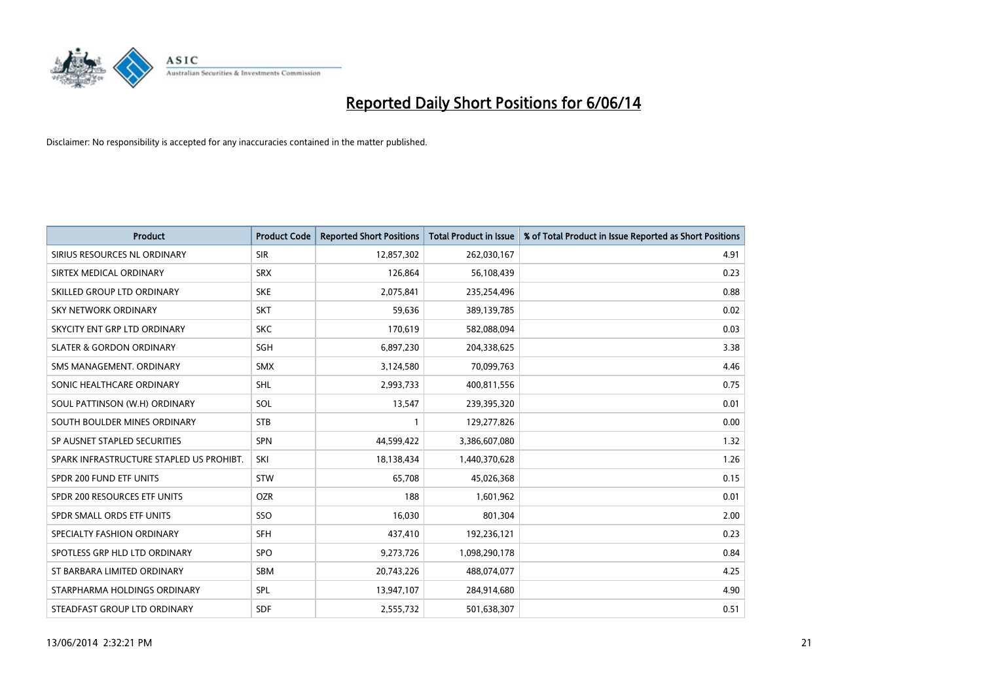

| <b>Product</b>                           | <b>Product Code</b> | <b>Reported Short Positions</b> | <b>Total Product in Issue</b> | % of Total Product in Issue Reported as Short Positions |
|------------------------------------------|---------------------|---------------------------------|-------------------------------|---------------------------------------------------------|
| SIRIUS RESOURCES NL ORDINARY             | <b>SIR</b>          | 12,857,302                      | 262,030,167                   | 4.91                                                    |
| SIRTEX MEDICAL ORDINARY                  | <b>SRX</b>          | 126,864                         | 56,108,439                    | 0.23                                                    |
| SKILLED GROUP LTD ORDINARY               | <b>SKE</b>          | 2,075,841                       | 235,254,496                   | 0.88                                                    |
| SKY NETWORK ORDINARY                     | <b>SKT</b>          | 59,636                          | 389,139,785                   | 0.02                                                    |
| SKYCITY ENT GRP LTD ORDINARY             | <b>SKC</b>          | 170,619                         | 582,088,094                   | 0.03                                                    |
| <b>SLATER &amp; GORDON ORDINARY</b>      | SGH                 | 6,897,230                       | 204,338,625                   | 3.38                                                    |
| SMS MANAGEMENT, ORDINARY                 | <b>SMX</b>          | 3,124,580                       | 70,099,763                    | 4.46                                                    |
| SONIC HEALTHCARE ORDINARY                | <b>SHL</b>          | 2,993,733                       | 400,811,556                   | 0.75                                                    |
| SOUL PATTINSON (W.H) ORDINARY            | SOL                 | 13,547                          | 239,395,320                   | 0.01                                                    |
| SOUTH BOULDER MINES ORDINARY             | <b>STB</b>          |                                 | 129,277,826                   | 0.00                                                    |
| SP AUSNET STAPLED SECURITIES             | <b>SPN</b>          | 44,599,422                      | 3,386,607,080                 | 1.32                                                    |
| SPARK INFRASTRUCTURE STAPLED US PROHIBT. | SKI                 | 18,138,434                      | 1,440,370,628                 | 1.26                                                    |
| SPDR 200 FUND ETF UNITS                  | <b>STW</b>          | 65,708                          | 45,026,368                    | 0.15                                                    |
| SPDR 200 RESOURCES ETF UNITS             | <b>OZR</b>          | 188                             | 1,601,962                     | 0.01                                                    |
| SPDR SMALL ORDS ETF UNITS                | SSO                 | 16,030                          | 801,304                       | 2.00                                                    |
| SPECIALTY FASHION ORDINARY               | <b>SFH</b>          | 437,410                         | 192,236,121                   | 0.23                                                    |
| SPOTLESS GRP HLD LTD ORDINARY            | <b>SPO</b>          | 9,273,726                       | 1,098,290,178                 | 0.84                                                    |
| ST BARBARA LIMITED ORDINARY              | <b>SBM</b>          | 20,743,226                      | 488,074,077                   | 4.25                                                    |
| STARPHARMA HOLDINGS ORDINARY             | <b>SPL</b>          | 13,947,107                      | 284,914,680                   | 4.90                                                    |
| STEADFAST GROUP LTD ORDINARY             | <b>SDF</b>          | 2,555,732                       | 501,638,307                   | 0.51                                                    |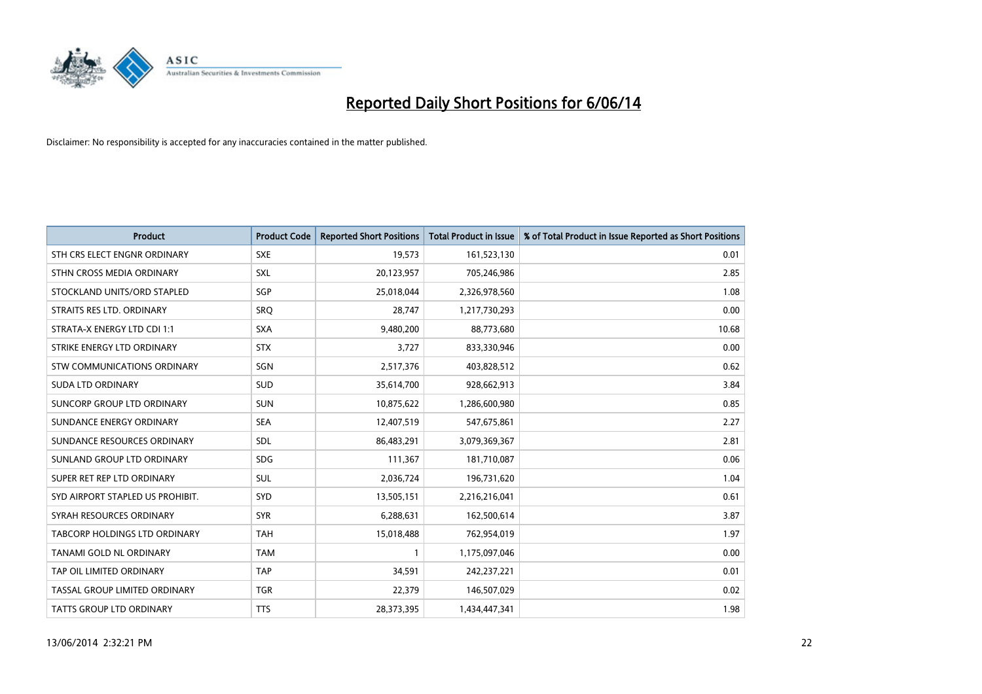

| <b>Product</b>                     | <b>Product Code</b> | <b>Reported Short Positions</b> | <b>Total Product in Issue</b> | % of Total Product in Issue Reported as Short Positions |
|------------------------------------|---------------------|---------------------------------|-------------------------------|---------------------------------------------------------|
| STH CRS ELECT ENGNR ORDINARY       | <b>SXE</b>          | 19,573                          | 161,523,130                   | 0.01                                                    |
| STHN CROSS MEDIA ORDINARY          | <b>SXL</b>          | 20,123,957                      | 705,246,986                   | 2.85                                                    |
| STOCKLAND UNITS/ORD STAPLED        | <b>SGP</b>          | 25,018,044                      | 2,326,978,560                 | 1.08                                                    |
| STRAITS RES LTD. ORDINARY          | SRO                 | 28,747                          | 1,217,730,293                 | 0.00                                                    |
| STRATA-X ENERGY LTD CDI 1:1        | <b>SXA</b>          | 9,480,200                       | 88,773,680                    | 10.68                                                   |
| STRIKE ENERGY LTD ORDINARY         | <b>STX</b>          | 3,727                           | 833,330,946                   | 0.00                                                    |
| <b>STW COMMUNICATIONS ORDINARY</b> | SGN                 | 2,517,376                       | 403,828,512                   | 0.62                                                    |
| <b>SUDA LTD ORDINARY</b>           | SUD                 | 35,614,700                      | 928,662,913                   | 3.84                                                    |
| SUNCORP GROUP LTD ORDINARY         | <b>SUN</b>          | 10,875,622                      | 1,286,600,980                 | 0.85                                                    |
| SUNDANCE ENERGY ORDINARY           | <b>SEA</b>          | 12,407,519                      | 547,675,861                   | 2.27                                                    |
| SUNDANCE RESOURCES ORDINARY        | <b>SDL</b>          | 86,483,291                      | 3,079,369,367                 | 2.81                                                    |
| SUNLAND GROUP LTD ORDINARY         | <b>SDG</b>          | 111,367                         | 181,710,087                   | 0.06                                                    |
| SUPER RET REP LTD ORDINARY         | <b>SUL</b>          | 2,036,724                       | 196,731,620                   | 1.04                                                    |
| SYD AIRPORT STAPLED US PROHIBIT.   | <b>SYD</b>          | 13,505,151                      | 2,216,216,041                 | 0.61                                                    |
| SYRAH RESOURCES ORDINARY           | <b>SYR</b>          | 6,288,631                       | 162,500,614                   | 3.87                                                    |
| TABCORP HOLDINGS LTD ORDINARY      | <b>TAH</b>          | 15,018,488                      | 762,954,019                   | 1.97                                                    |
| TANAMI GOLD NL ORDINARY            | <b>TAM</b>          |                                 | 1,175,097,046                 | 0.00                                                    |
| TAP OIL LIMITED ORDINARY           | <b>TAP</b>          | 34,591                          | 242,237,221                   | 0.01                                                    |
| TASSAL GROUP LIMITED ORDINARY      | <b>TGR</b>          | 22,379                          | 146,507,029                   | 0.02                                                    |
| <b>TATTS GROUP LTD ORDINARY</b>    | <b>TTS</b>          | 28,373,395                      | 1,434,447,341                 | 1.98                                                    |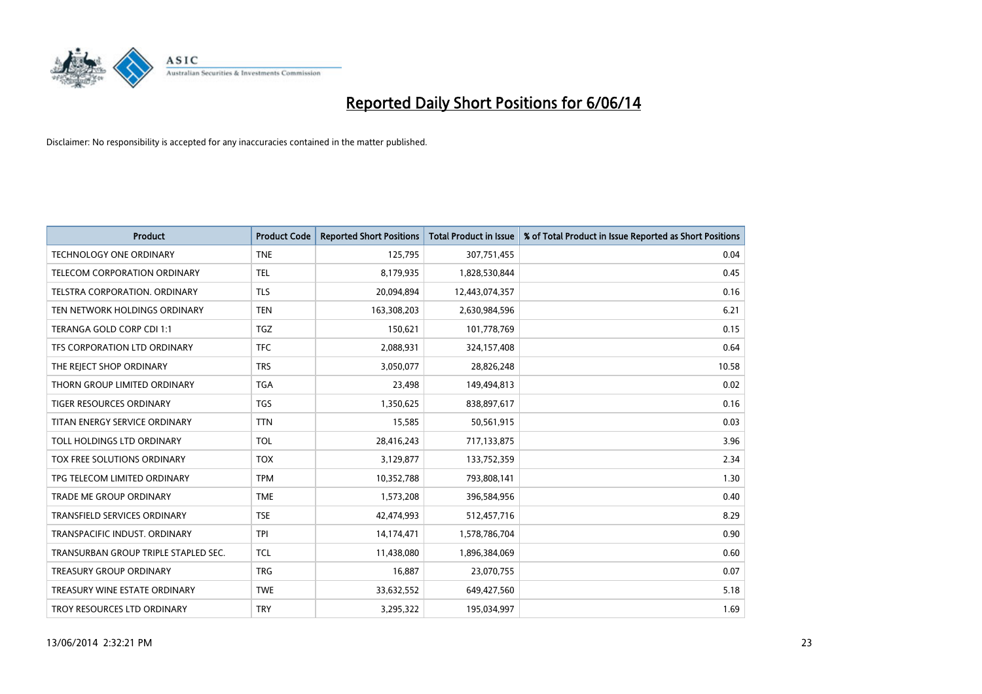

| <b>Product</b>                       | <b>Product Code</b> | <b>Reported Short Positions</b> | <b>Total Product in Issue</b> | % of Total Product in Issue Reported as Short Positions |
|--------------------------------------|---------------------|---------------------------------|-------------------------------|---------------------------------------------------------|
| <b>TECHNOLOGY ONE ORDINARY</b>       | <b>TNE</b>          | 125,795                         | 307,751,455                   | 0.04                                                    |
| TELECOM CORPORATION ORDINARY         | <b>TEL</b>          | 8,179,935                       | 1,828,530,844                 | 0.45                                                    |
| TELSTRA CORPORATION, ORDINARY        | <b>TLS</b>          | 20,094,894                      | 12,443,074,357                | 0.16                                                    |
| TEN NETWORK HOLDINGS ORDINARY        | <b>TEN</b>          | 163,308,203                     | 2,630,984,596                 | 6.21                                                    |
| TERANGA GOLD CORP CDI 1:1            | <b>TGZ</b>          | 150,621                         | 101,778,769                   | 0.15                                                    |
| TFS CORPORATION LTD ORDINARY         | <b>TFC</b>          | 2,088,931                       | 324,157,408                   | 0.64                                                    |
| THE REJECT SHOP ORDINARY             | <b>TRS</b>          | 3,050,077                       | 28,826,248                    | 10.58                                                   |
| THORN GROUP LIMITED ORDINARY         | <b>TGA</b>          | 23,498                          | 149,494,813                   | 0.02                                                    |
| TIGER RESOURCES ORDINARY             | <b>TGS</b>          | 1,350,625                       | 838,897,617                   | 0.16                                                    |
| TITAN ENERGY SERVICE ORDINARY        | <b>TTN</b>          | 15,585                          | 50,561,915                    | 0.03                                                    |
| TOLL HOLDINGS LTD ORDINARY           | <b>TOL</b>          | 28,416,243                      | 717,133,875                   | 3.96                                                    |
| TOX FREE SOLUTIONS ORDINARY          | <b>TOX</b>          | 3,129,877                       | 133,752,359                   | 2.34                                                    |
| TPG TELECOM LIMITED ORDINARY         | <b>TPM</b>          | 10,352,788                      | 793,808,141                   | 1.30                                                    |
| <b>TRADE ME GROUP ORDINARY</b>       | <b>TME</b>          | 1,573,208                       | 396,584,956                   | 0.40                                                    |
| <b>TRANSFIELD SERVICES ORDINARY</b>  | <b>TSE</b>          | 42,474,993                      | 512,457,716                   | 8.29                                                    |
| TRANSPACIFIC INDUST. ORDINARY        | <b>TPI</b>          | 14,174,471                      | 1,578,786,704                 | 0.90                                                    |
| TRANSURBAN GROUP TRIPLE STAPLED SEC. | <b>TCL</b>          | 11,438,080                      | 1,896,384,069                 | 0.60                                                    |
| <b>TREASURY GROUP ORDINARY</b>       | <b>TRG</b>          | 16,887                          | 23,070,755                    | 0.07                                                    |
| TREASURY WINE ESTATE ORDINARY        | <b>TWE</b>          | 33,632,552                      | 649,427,560                   | 5.18                                                    |
| TROY RESOURCES LTD ORDINARY          | <b>TRY</b>          | 3.295.322                       | 195,034,997                   | 1.69                                                    |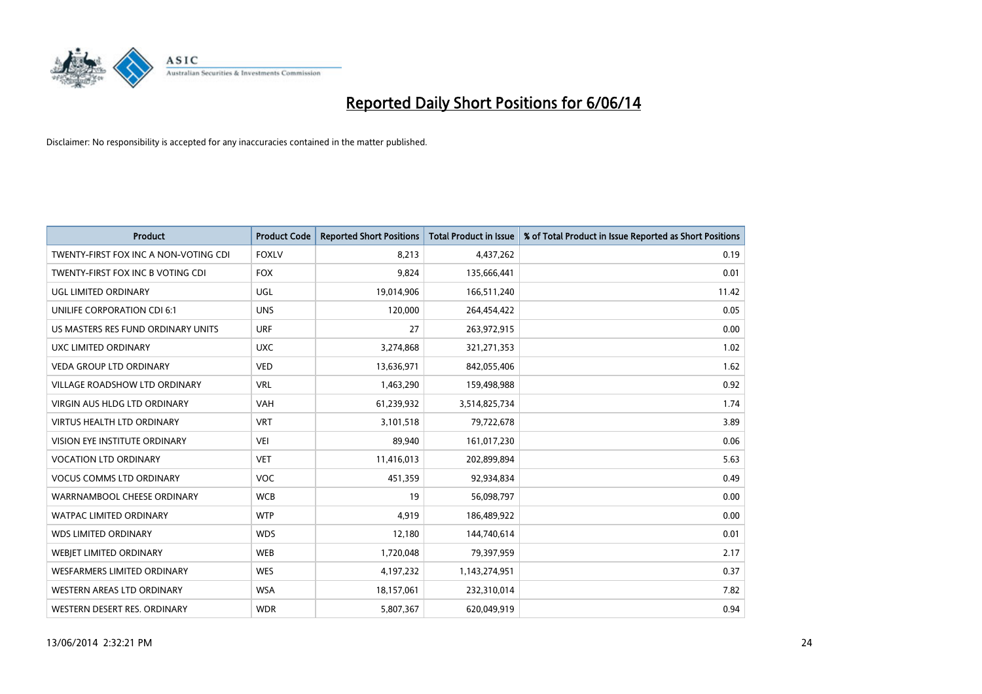

| <b>Product</b>                        | <b>Product Code</b> | <b>Reported Short Positions</b> | <b>Total Product in Issue</b> | % of Total Product in Issue Reported as Short Positions |
|---------------------------------------|---------------------|---------------------------------|-------------------------------|---------------------------------------------------------|
| TWENTY-FIRST FOX INC A NON-VOTING CDI | <b>FOXLV</b>        | 8.213                           | 4,437,262                     | 0.19                                                    |
| TWENTY-FIRST FOX INC B VOTING CDI     | <b>FOX</b>          | 9,824                           | 135,666,441                   | 0.01                                                    |
| UGL LIMITED ORDINARY                  | UGL                 | 19,014,906                      | 166,511,240                   | 11.42                                                   |
| UNILIFE CORPORATION CDI 6:1           | <b>UNS</b>          | 120,000                         | 264,454,422                   | 0.05                                                    |
| US MASTERS RES FUND ORDINARY UNITS    | <b>URF</b>          | 27                              | 263,972,915                   | 0.00                                                    |
| UXC LIMITED ORDINARY                  | <b>UXC</b>          | 3,274,868                       | 321,271,353                   | 1.02                                                    |
| <b>VEDA GROUP LTD ORDINARY</b>        | <b>VED</b>          | 13,636,971                      | 842,055,406                   | 1.62                                                    |
| VILLAGE ROADSHOW LTD ORDINARY         | <b>VRL</b>          | 1,463,290                       | 159,498,988                   | 0.92                                                    |
| <b>VIRGIN AUS HLDG LTD ORDINARY</b>   | <b>VAH</b>          | 61,239,932                      | 3,514,825,734                 | 1.74                                                    |
| <b>VIRTUS HEALTH LTD ORDINARY</b>     | <b>VRT</b>          | 3,101,518                       | 79,722,678                    | 3.89                                                    |
| VISION EYE INSTITUTE ORDINARY         | <b>VEI</b>          | 89,940                          | 161,017,230                   | 0.06                                                    |
| <b>VOCATION LTD ORDINARY</b>          | <b>VET</b>          | 11,416,013                      | 202,899,894                   | 5.63                                                    |
| <b>VOCUS COMMS LTD ORDINARY</b>       | VOC                 | 451,359                         | 92,934,834                    | 0.49                                                    |
| WARRNAMBOOL CHEESE ORDINARY           | <b>WCB</b>          | 19                              | 56,098,797                    | 0.00                                                    |
| <b>WATPAC LIMITED ORDINARY</b>        | <b>WTP</b>          | 4,919                           | 186,489,922                   | 0.00                                                    |
| <b>WDS LIMITED ORDINARY</b>           | <b>WDS</b>          | 12,180                          | 144,740,614                   | 0.01                                                    |
| WEBIET LIMITED ORDINARY               | <b>WEB</b>          | 1,720,048                       | 79,397,959                    | 2.17                                                    |
| <b>WESFARMERS LIMITED ORDINARY</b>    | <b>WES</b>          | 4,197,232                       | 1,143,274,951                 | 0.37                                                    |
| WESTERN AREAS LTD ORDINARY            | <b>WSA</b>          | 18,157,061                      | 232,310,014                   | 7.82                                                    |
| WESTERN DESERT RES. ORDINARY          | <b>WDR</b>          | 5,807,367                       | 620,049,919                   | 0.94                                                    |